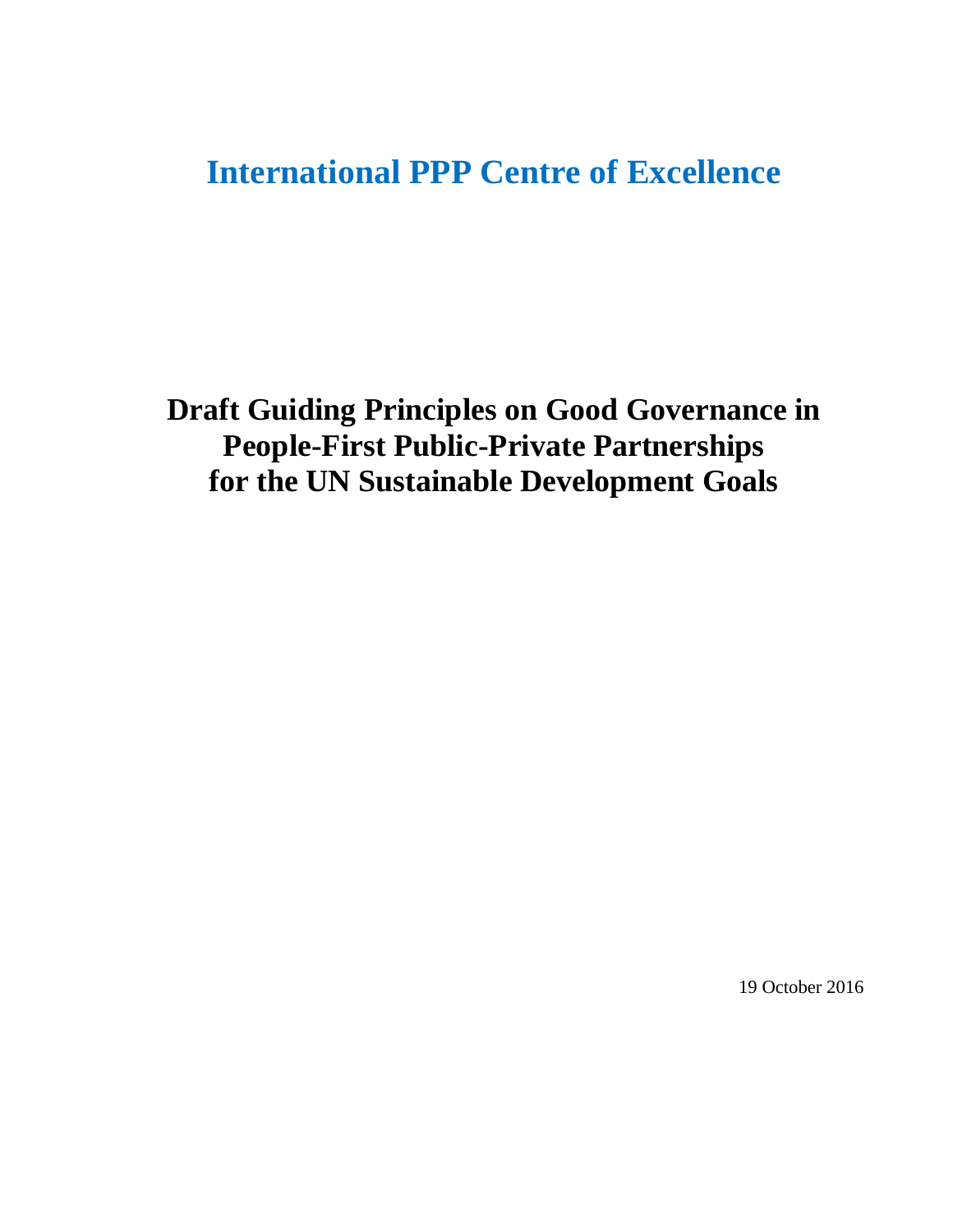# **International PPP Centre of Excellence**

**Draft Guiding Principles on Good Governance in People-First Public-Private Partnerships for the UN Sustainable Development Goals**

19 October 2016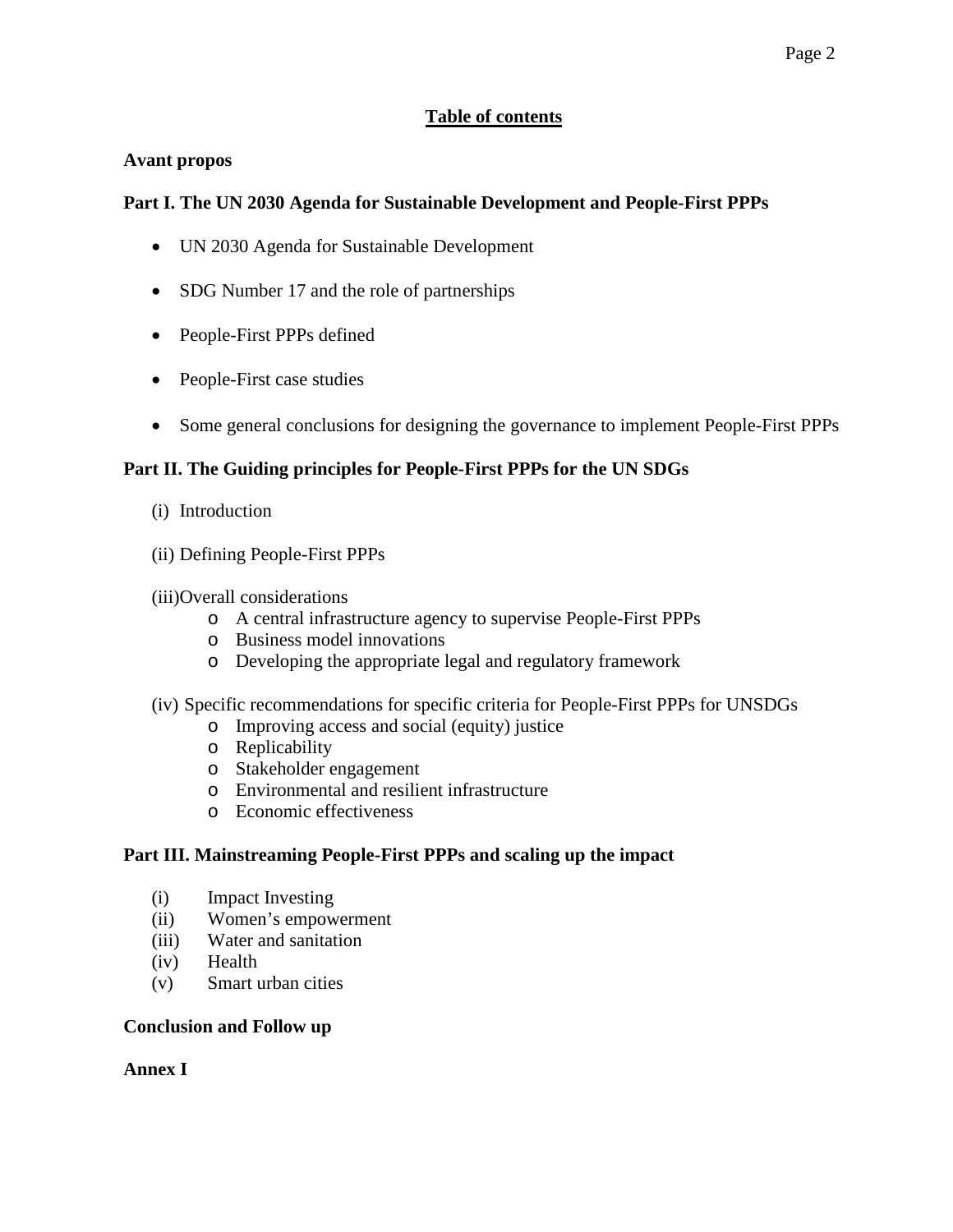# **Table of contents**

## **Avant propos**

# **Part I. The UN 2030 Agenda for Sustainable Development and People-First PPPs**

- UN 2030 Agenda for Sustainable Development
- SDG Number 17 and the role of partnerships
- People-First PPPs defined
- People-First case studies
- Some general conclusions for designing the governance to implement People-First PPPs

# **Part II. The Guiding principles for People-First PPPs for the UN SDGs**

- (i) Introduction
- (ii) Defining People-First PPPs
- (iii)Overall considerations
	- o A central infrastructure agency to supervise People-First PPPs
	- o Business model innovations
	- o Developing the appropriate legal and regulatory framework
- (iv) Specific recommendations for specific criteria for People-First PPPs for UNSDGs
	- o Improving access and social (equity) justice
	- o Replicability
	- o Stakeholder engagement
	- o Environmental and resilient infrastructure
	- o Economic effectiveness

# **Part III. Mainstreaming People-First PPPs and scaling up the impact**

- (i) Impact Investing
- (ii) Women's empowerment
- (iii) Water and sanitation
- (iv) Health
- (v) Smart urban cities

#### **Conclusion and Follow up**

#### **Annex I**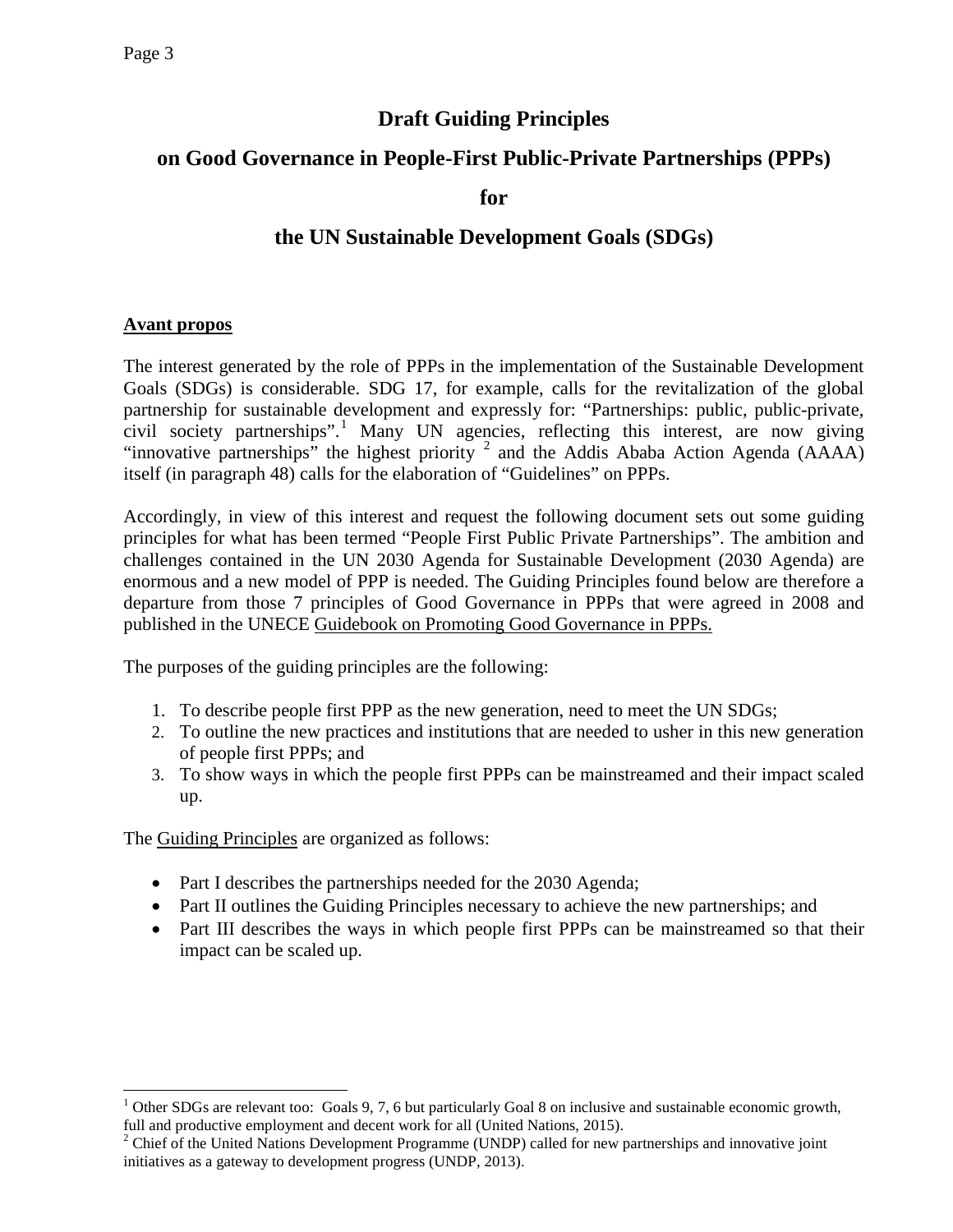# **Draft Guiding Principles**

# **on Good Governance in People-First Public-Private Partnerships (PPPs)**

**for**

# **the UN Sustainable Development Goals (SDGs)**

# **Avant propos**

The interest generated by the role of PPPs in the implementation of the Sustainable Development Goals (SDGs) is considerable. SDG 17, for example, calls for the revitalization of the global partnership for sustainable development and expressly for: "Partnerships: public, public-private, civil society partnerships". [1](#page-2-0) Many UN agencies, reflecting this interest, are now giving "innovative partnerships" the highest priority  $2$  and the Addis Ababa Action Agenda (AAAA) itself (in paragraph 48) calls for the elaboration of "Guidelines" on PPPs.

Accordingly, in view of this interest and request the following document sets out some guiding principles for what has been termed "People First Public Private Partnerships". The ambition and challenges contained in the UN 2030 Agenda for Sustainable Development (2030 Agenda) are enormous and a new model of PPP is needed. The Guiding Principles found below are therefore a departure from those 7 principles of Good Governance in PPPs that were agreed in 2008 and published in the UNECE Guidebook on Promoting Good Governance in PPPs.

The purposes of the guiding principles are the following:

- 1. To describe people first PPP as the new generation, need to meet the UN SDGs;
- 2. To outline the new practices and institutions that are needed to usher in this new generation of people first PPPs; and
- 3. To show ways in which the people first PPPs can be mainstreamed and their impact scaled up.

The Guiding Principles are organized as follows:

- Part I describes the partnerships needed for the 2030 Agenda;
- Part II outlines the Guiding Principles necessary to achieve the new partnerships; and
- Part III describes the ways in which people first PPPs can be mainstreamed so that their impact can be scaled up.

<span id="page-2-0"></span> $1$  Other SDGs are relevant too: Goals 9, 7, 6 but particularly Goal 8 on inclusive and sustainable economic growth, full and productive employment and decent work for all (United Nations, 2015).<br><sup>2</sup> Chief of the United Nations Development Programme (UNDP) called for new partnerships and innovative joint

<span id="page-2-1"></span>initiatives as a gateway to development progress (UNDP, 2013).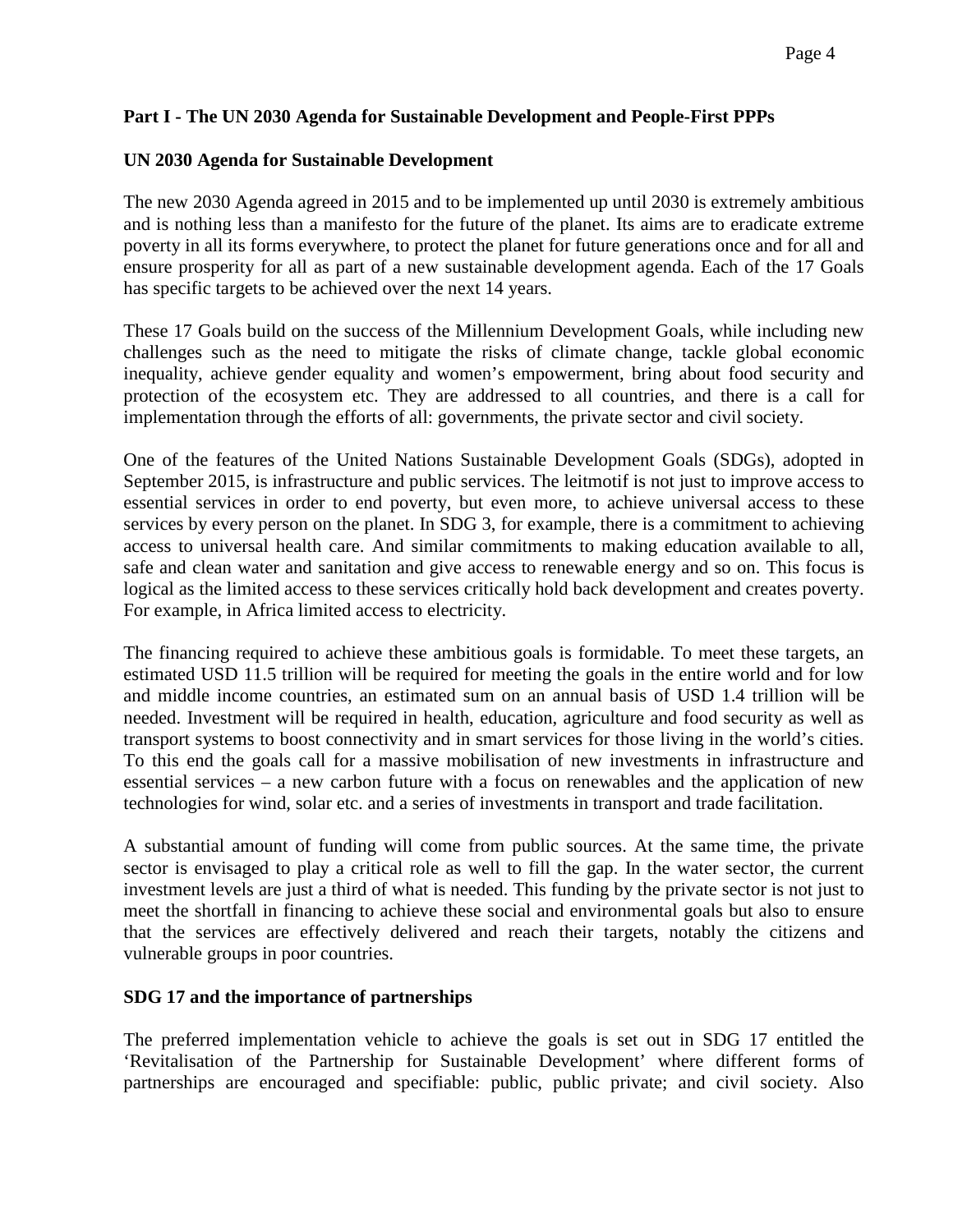#### **Part I - The UN 2030 Agenda for Sustainable Development and People-First PPPs**

#### **UN 2030 Agenda for Sustainable Development**

The new 2030 Agenda agreed in 2015 and to be implemented up until 2030 is extremely ambitious and is nothing less than a manifesto for the future of the planet. Its aims are to eradicate extreme poverty in all its forms everywhere, to protect the planet for future generations once and for all and ensure prosperity for all as part of a new sustainable development agenda. Each of the 17 Goals has specific targets to be achieved over the next 14 years.

These 17 Goals build on the success of the Millennium Development Goals, while including new challenges such as the need to mitigate the risks of climate change, tackle global economic inequality, achieve gender equality and women's empowerment, bring about food security and protection of the ecosystem etc. They are addressed to all countries, and there is a call for implementation through the efforts of all: governments, the private sector and civil society.

One of the features of the United Nations Sustainable Development Goals (SDGs), adopted in September 2015, is infrastructure and public services. The leitmotif is not just to improve access to essential services in order to end poverty, but even more, to achieve universal access to these services by every person on the planet. In SDG 3, for example, there is a commitment to achieving access to universal health care. And similar commitments to making education available to all, safe and clean water and sanitation and give access to renewable energy and so on. This focus is logical as the limited access to these services critically hold back development and creates poverty. For example, in Africa limited access to electricity.

The financing required to achieve these ambitious goals is formidable. To meet these targets, an estimated USD 11.5 trillion will be required for meeting the goals in the entire world and for low and middle income countries, an estimated sum on an annual basis of USD 1.4 trillion will be needed. Investment will be required in health, education, agriculture and food security as well as transport systems to boost connectivity and in smart services for those living in the world's cities. To this end the goals call for a massive mobilisation of new investments in infrastructure and essential services – a new carbon future with a focus on renewables and the application of new technologies for wind, solar etc. and a series of investments in transport and trade facilitation.

A substantial amount of funding will come from public sources. At the same time, the private sector is envisaged to play a critical role as well to fill the gap. In the water sector, the current investment levels are just a third of what is needed. This funding by the private sector is not just to meet the shortfall in financing to achieve these social and environmental goals but also to ensure that the services are effectively delivered and reach their targets, notably the citizens and vulnerable groups in poor countries.

#### **SDG 17 and the importance of partnerships**

The preferred implementation vehicle to achieve the goals is set out in SDG 17 entitled the 'Revitalisation of the Partnership for Sustainable Development' where different forms of partnerships are encouraged and specifiable: public, public private; and civil society. Also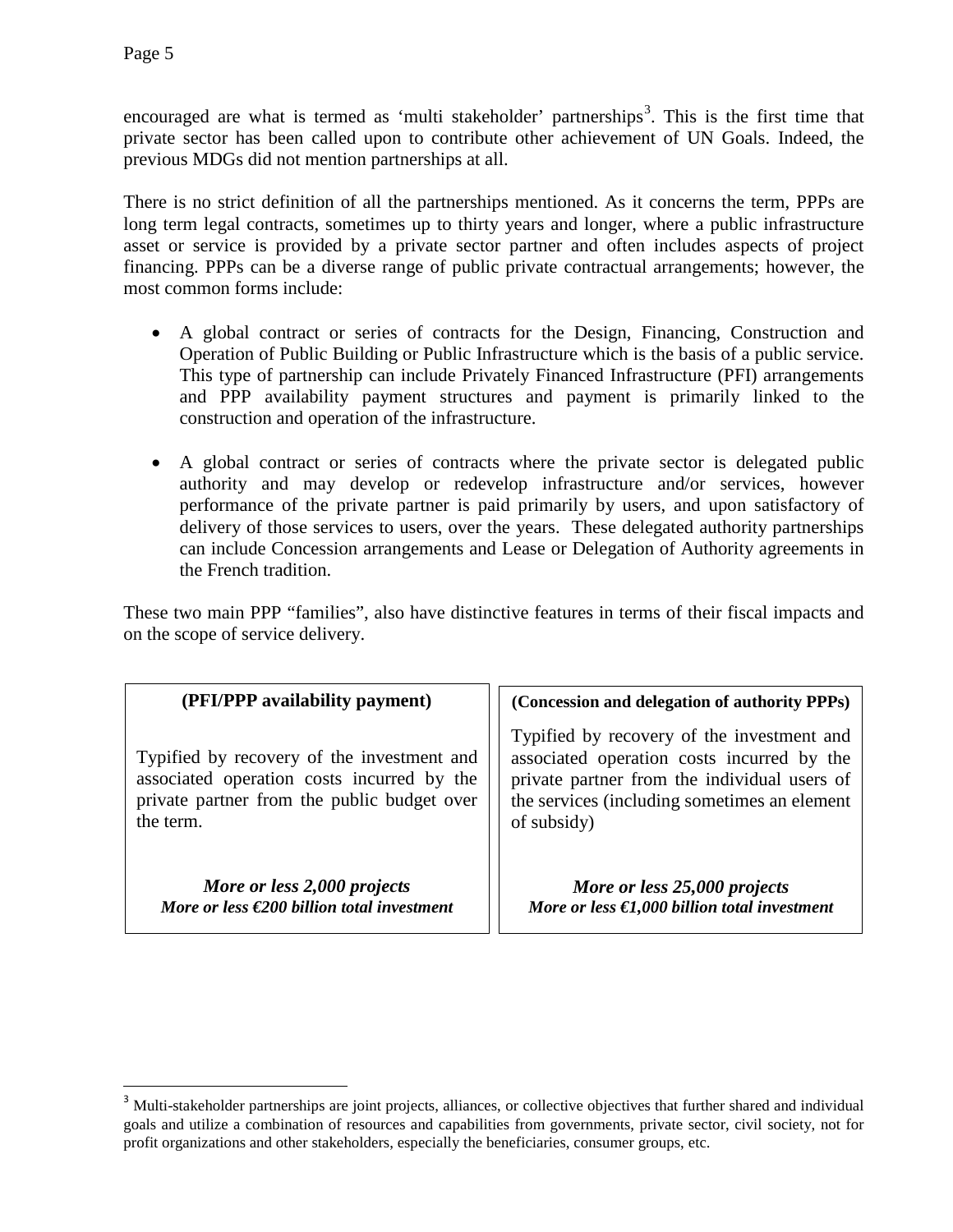encouraged are what is termed as 'multi stakeholder' partnerships<sup>[3](#page-4-0)</sup>. This is the first time that private sector has been called upon to contribute other achievement of UN Goals. Indeed, the previous MDGs did not mention partnerships at all.

There is no strict definition of all the partnerships mentioned. As it concerns the term, PPPs are long term legal contracts, sometimes up to thirty years and longer, where a public infrastructure asset or service is provided by a private sector partner and often includes aspects of project financing. PPPs can be a diverse range of public private contractual arrangements; however, the most common forms include:

- A global contract or series of contracts for the Design, Financing, Construction and Operation of Public Building or Public Infrastructure which is the basis of a public service. This type of partnership can include Privately Financed Infrastructure (PFI) arrangements and PPP availability payment structures and payment is primarily linked to the construction and operation of the infrastructure.
- A global contract or series of contracts where the private sector is delegated public authority and may develop or redevelop infrastructure and/or services, however performance of the private partner is paid primarily by users, and upon satisfactory of delivery of those services to users, over the years. These delegated authority partnerships can include Concession arrangements and Lease or Delegation of Authority agreements in the French tradition.

These two main PPP "families", also have distinctive features in terms of their fiscal impacts and on the scope of service delivery.

| (PFI/PPP availability payment)                                                                                                                       | (Concession and delegation of authority PPPs)                                                                                                                                                           |
|------------------------------------------------------------------------------------------------------------------------------------------------------|---------------------------------------------------------------------------------------------------------------------------------------------------------------------------------------------------------|
| Typified by recovery of the investment and<br>associated operation costs incurred by the<br>private partner from the public budget over<br>the term. | Typified by recovery of the investment and<br>associated operation costs incurred by the<br>private partner from the individual users of<br>the services (including sometimes an element<br>of subsidy) |
| More or less 2,000 projects<br>More or less $\in 200$ billion total investment                                                                       | More or less 25,000 projects<br>More or less $\epsilon$ 1,000 billion total investment                                                                                                                  |

<span id="page-4-0"></span><sup>&</sup>lt;sup>3</sup> Multi-stakeholder partnerships are joint projects, alliances, or collective objectives that further shared and individual goals and utilize a combination of resources and capabilities from governments, private sector, civil society, not for profit organizations and other stakeholders, especially the beneficiaries, consumer groups, etc.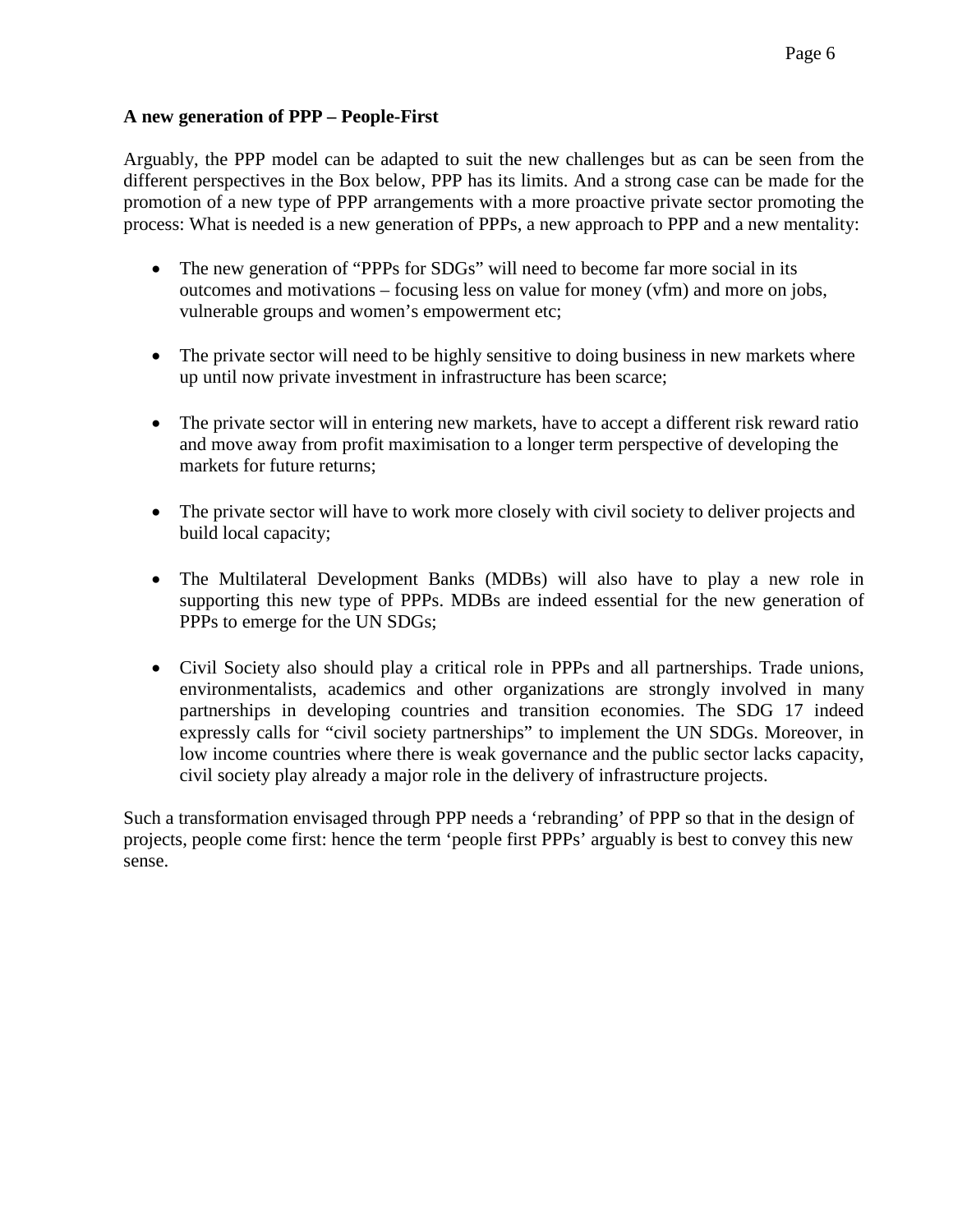#### **A new generation of PPP – People-First**

Arguably, the PPP model can be adapted to suit the new challenges but as can be seen from the different perspectives in the Box below, PPP has its limits. And a strong case can be made for the promotion of a new type of PPP arrangements with a more proactive private sector promoting the process: What is needed is a new generation of PPPs, a new approach to PPP and a new mentality:

- The new generation of "PPPs for SDGs" will need to become far more social in its outcomes and motivations – focusing less on value for money (vfm) and more on jobs, vulnerable groups and women's empowerment etc;
- The private sector will need to be highly sensitive to doing business in new markets where up until now private investment in infrastructure has been scarce;
- The private sector will in entering new markets, have to accept a different risk reward ratio and move away from profit maximisation to a longer term perspective of developing the markets for future returns;
- The private sector will have to work more closely with civil society to deliver projects and build local capacity;
- The Multilateral Development Banks (MDBs) will also have to play a new role in supporting this new type of PPPs. MDBs are indeed essential for the new generation of PPPs to emerge for the UN SDGs;
- Civil Society also should play a critical role in PPPs and all partnerships. Trade unions, environmentalists, academics and other organizations are strongly involved in many partnerships in developing countries and transition economies. The SDG 17 indeed expressly calls for "civil society partnerships" to implement the UN SDGs. Moreover, in low income countries where there is weak governance and the public sector lacks capacity, civil society play already a major role in the delivery of infrastructure projects.

Such a transformation envisaged through PPP needs a 'rebranding' of PPP so that in the design of projects, people come first: hence the term 'people first PPPs' arguably is best to convey this new sense.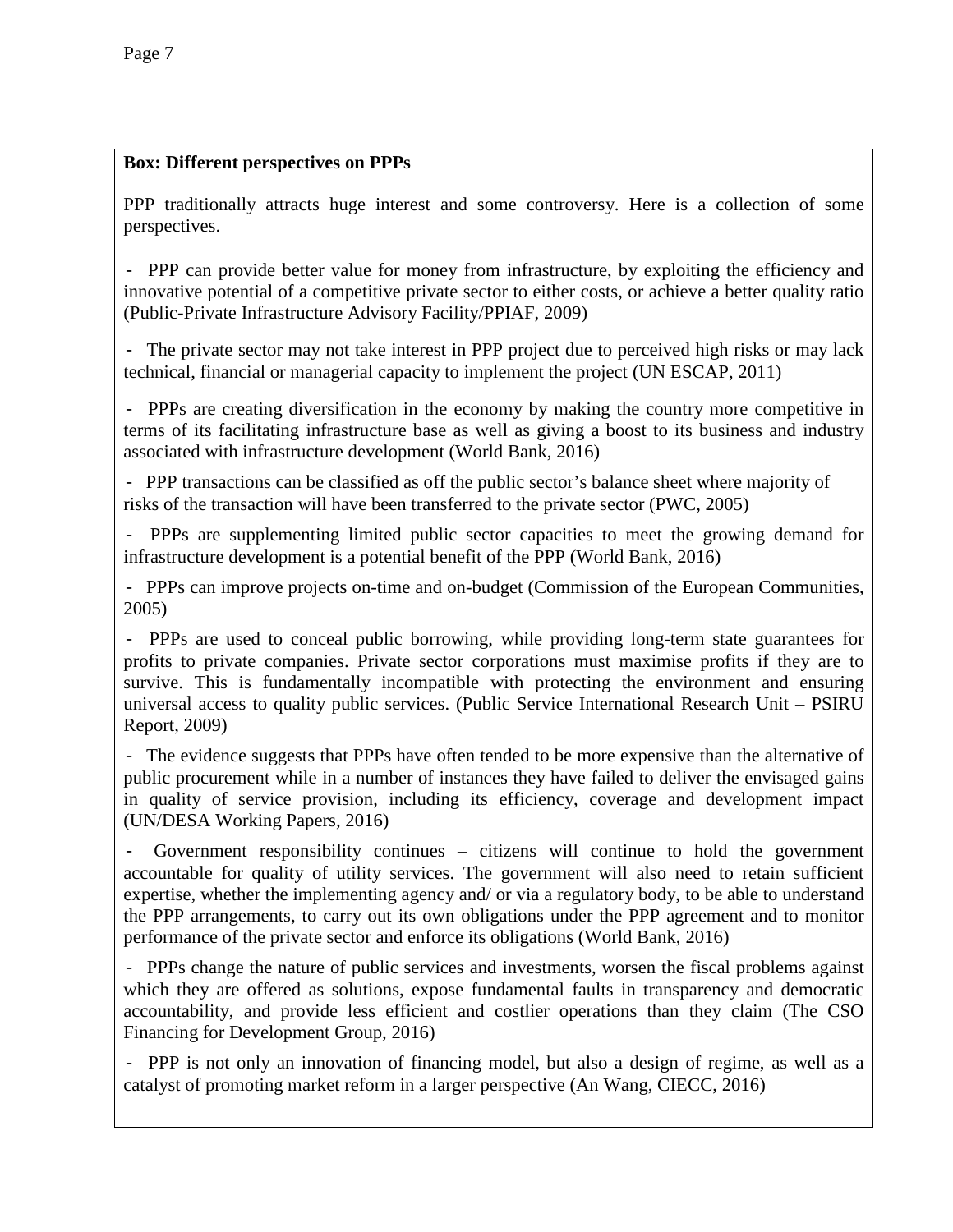## **Box: Different perspectives on PPPs**

PPP traditionally attracts huge interest and some controversy. Here is a collection of some perspectives.

- PPP can provide better value for money from infrastructure, by exploiting the efficiency and innovative potential of a competitive private sector to either costs, or achieve a better quality ratio (Public-Private Infrastructure Advisory Facility/PPIAF, 2009)

- The private sector may not take interest in PPP project due to perceived high risks or may lack technical, financial or managerial capacity to implement the project (UN ESCAP, 2011)

- PPPs are creating diversification in the economy by making the country more competitive in terms of its facilitating infrastructure base as well as giving a boost to its business and industry associated with infrastructure development (World Bank, 2016)

- PPP transactions can be classified as off the public sector's balance sheet where majority of risks of the transaction will have been transferred to the private sector (PWC, 2005)

- PPPs are supplementing limited public sector capacities to meet the growing demand for infrastructure development is a potential benefit of the PPP (World Bank, 2016)

- PPPs can improve projects on-time and on-budget (Commission of the European Communities, 2005)

- PPPs are used to conceal public borrowing, while providing long-term state guarantees for profits to private companies. Private sector corporations must maximise profits if they are to survive. This is fundamentally incompatible with protecting the environment and ensuring universal access to quality public services. (Public Service International Research Unit – PSIRU Report, 2009)

- The evidence suggests that PPPs have often tended to be more expensive than the alternative of public procurement while in a number of instances they have failed to deliver the envisaged gains in quality of service provision, including its efficiency, coverage and development impact (UN/DESA Working Papers, 2016)

Government responsibility continues – citizens will continue to hold the government accountable for quality of utility services. The government will also need to retain sufficient expertise, whether the implementing agency and/ or via a regulatory body, to be able to understand the PPP arrangements, to carry out its own obligations under the PPP agreement and to monitor performance of the private sector and enforce its obligations (World Bank, 2016)

- PPPs change the nature of public services and investments, worsen the fiscal problems against which they are offered as solutions, expose fundamental faults in transparency and democratic accountability, and provide less efficient and costlier operations than they claim (The CSO Financing for Development Group, 2016)

- PPP is not only an innovation of financing model, but also a design of regime, as well as a catalyst of promoting market reform in a larger perspective (An Wang, CIECC, 2016)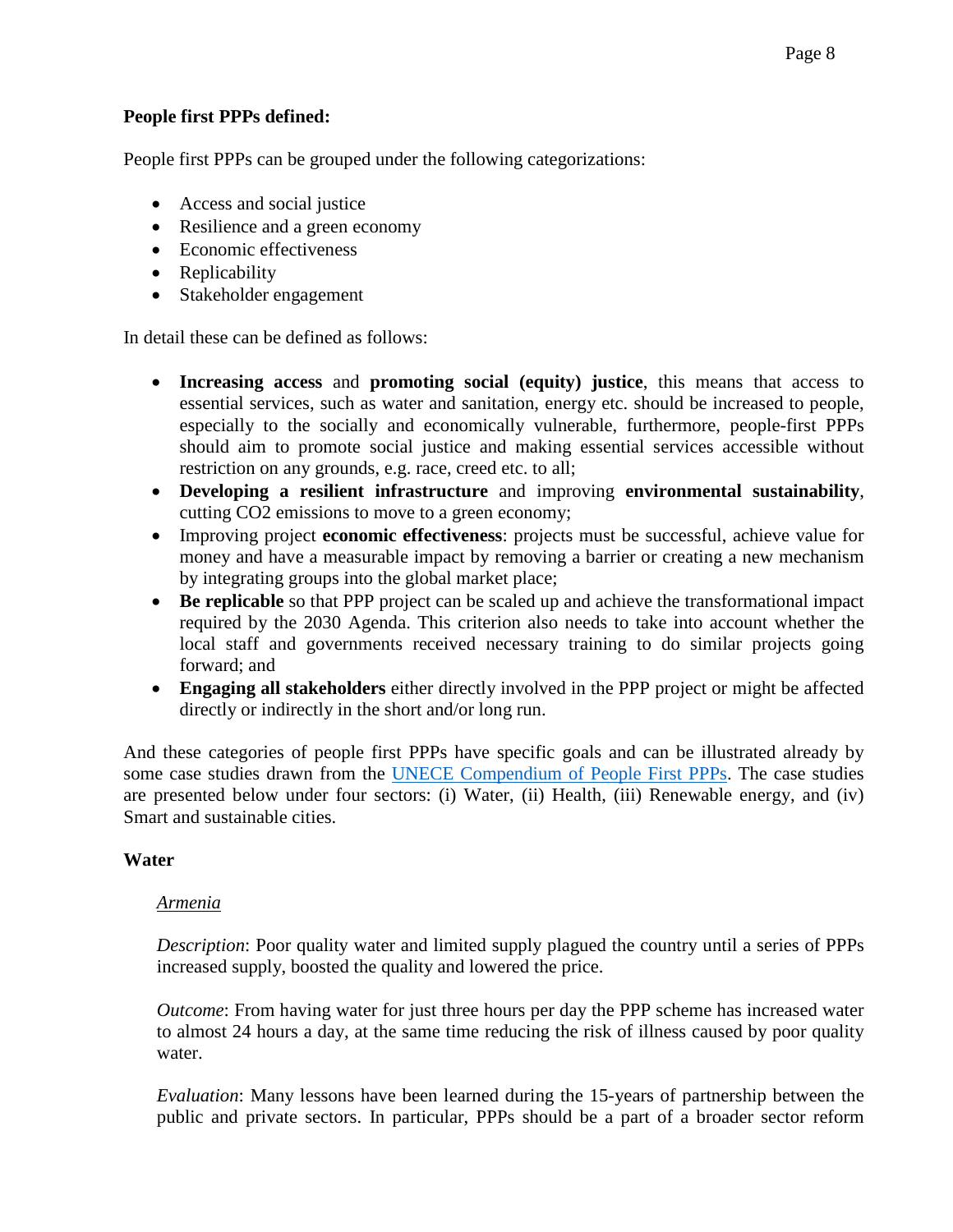#### **People first PPPs defined:**

People first PPPs can be grouped under the following categorizations:

- Access and social justice
- Resilience and a green economy
- Economic effectiveness
- Replicability
- Stakeholder engagement

In detail these can be defined as follows:

- **Increasing access** and **promoting social (equity) justice**, this means that access to essential services, such as water and sanitation, energy etc. should be increased to people, especially to the socially and economically vulnerable, furthermore, people-first PPPs should aim to promote social justice and making essential services accessible without restriction on any grounds, e.g. race, creed etc. to all;
- **Developing a resilient infrastructure** and improving **environmental sustainability**, cutting CO2 emissions to move to a green economy;
- Improving project **economic effectiveness**: projects must be successful, achieve value for money and have a measurable impact by removing a barrier or creating a new mechanism by integrating groups into the global market place;
- **Be replicable** so that PPP project can be scaled up and achieve the transformational impact required by the 2030 Agenda. This criterion also needs to take into account whether the local staff and governments received necessary training to do similar projects going forward; and
- **Engaging all stakeholders** either directly involved in the PPP project or might be affected directly or indirectly in the short and/or long run.

And these categories of people first PPPs have specific goals and can be illustrated already by some case studies drawn from the [UNECE Compendium of People First PPPs.](https://www.unece.org/fileadmin/DAM/ceci/documents/2016/PPP/Forum_PPP-SDGs/PPP_Forum_2016-Compendium_All_Presentations.pdf) The case studies are presented below under four sectors: (i) Water, (ii) Health, (iii) Renewable energy, and (iv) Smart and sustainable cities.

#### **Water**

#### *Armenia*

*Description*: Poor quality water and limited supply plagued the country until a series of PPPs increased supply, boosted the quality and lowered the price.

*Outcome*: From having water for just three hours per day the PPP scheme has increased water to almost 24 hours a day, at the same time reducing the risk of illness caused by poor quality water.

*Evaluation*: Many lessons have been learned during the 15-years of partnership between the public and private sectors. In particular, PPPs should be a part of a broader sector reform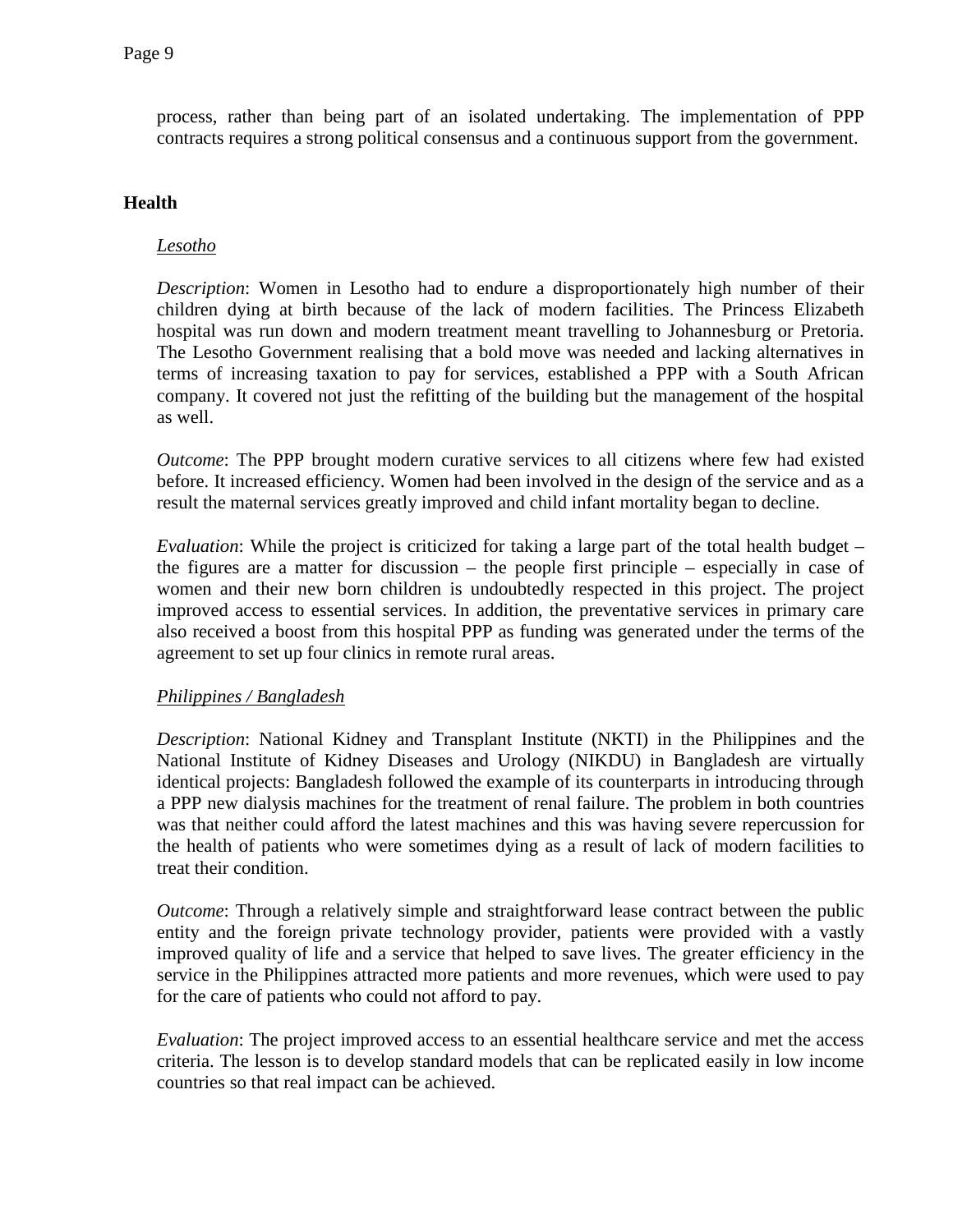process, rather than being part of an isolated undertaking. The implementation of PPP contracts requires a strong political consensus and a continuous support from the government.

#### **Health**

# *Lesotho*

*Description*: Women in Lesotho had to endure a disproportionately high number of their children dying at birth because of the lack of modern facilities. The Princess Elizabeth hospital was run down and modern treatment meant travelling to Johannesburg or Pretoria. The Lesotho Government realising that a bold move was needed and lacking alternatives in terms of increasing taxation to pay for services, established a PPP with a South African company. It covered not just the refitting of the building but the management of the hospital as well.

*Outcome*: The PPP brought modern curative services to all citizens where few had existed before. It increased efficiency. Women had been involved in the design of the service and as a result the maternal services greatly improved and child infant mortality began to decline.

*Evaluation*: While the project is criticized for taking a large part of the total health budget – the figures are a matter for discussion – the people first principle – especially in case of women and their new born children is undoubtedly respected in this project. The project improved access to essential services. In addition, the preventative services in primary care also received a boost from this hospital PPP as funding was generated under the terms of the agreement to set up four clinics in remote rural areas.

#### *Philippines / Bangladesh*

*Description*: National Kidney and Transplant Institute (NKTI) in the Philippines and the National Institute of Kidney Diseases and Urology (NIKDU) in Bangladesh are virtually identical projects: Bangladesh followed the example of its counterparts in introducing through a PPP new dialysis machines for the treatment of renal failure. The problem in both countries was that neither could afford the latest machines and this was having severe repercussion for the health of patients who were sometimes dying as a result of lack of modern facilities to treat their condition.

*Outcome*: Through a relatively simple and straightforward lease contract between the public entity and the foreign private technology provider, patients were provided with a vastly improved quality of life and a service that helped to save lives. The greater efficiency in the service in the Philippines attracted more patients and more revenues, which were used to pay for the care of patients who could not afford to pay.

*Evaluation*: The project improved access to an essential healthcare service and met the access criteria. The lesson is to develop standard models that can be replicated easily in low income countries so that real impact can be achieved.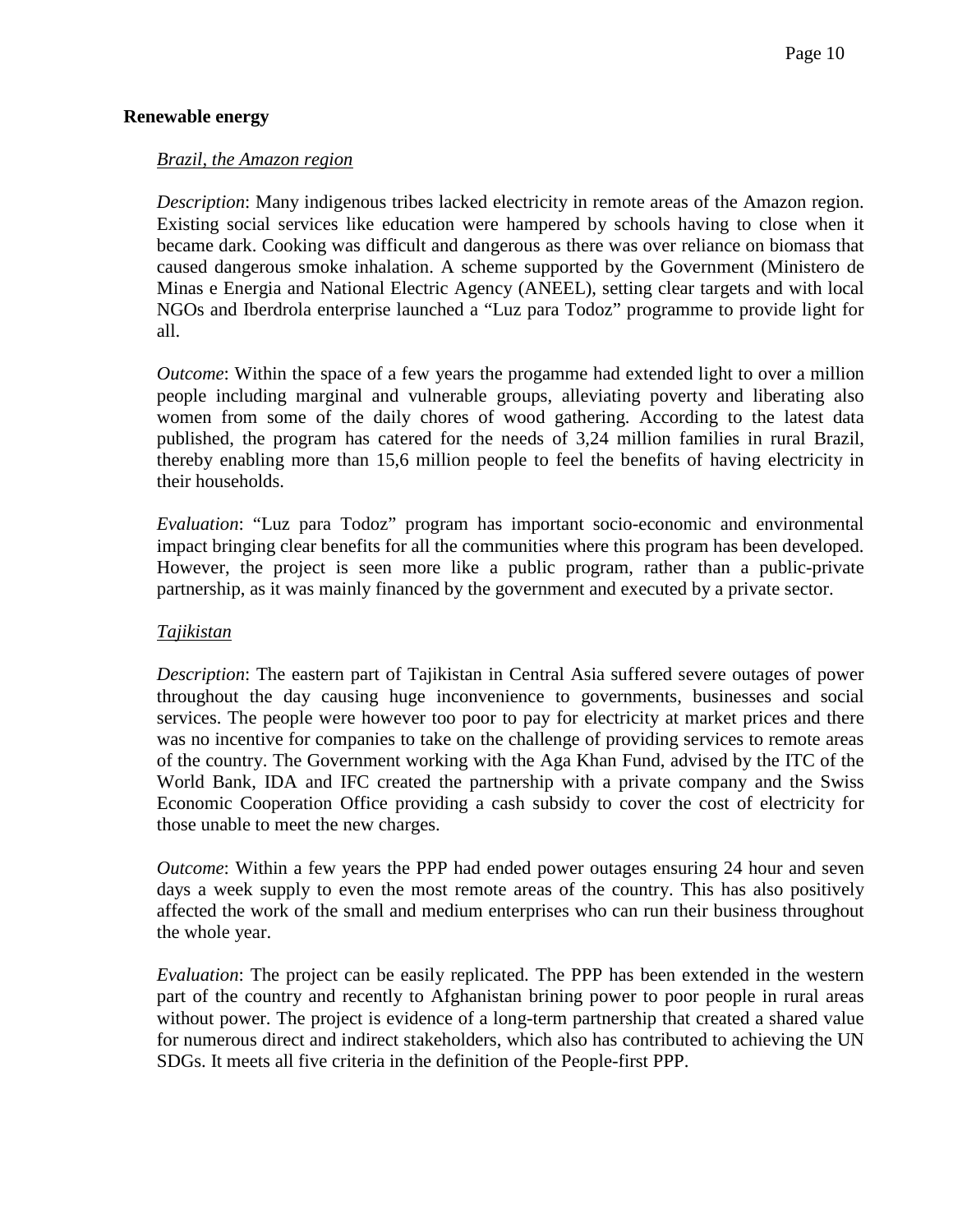#### **Renewable energy**

#### *Brazil, the Amazon region*

*Description*: Many indigenous tribes lacked electricity in remote areas of the Amazon region. Existing social services like education were hampered by schools having to close when it became dark. Cooking was difficult and dangerous as there was over reliance on biomass that caused dangerous smoke inhalation. A scheme supported by the Government (Ministero de Minas e Energia and National Electric Agency (ANEEL), setting clear targets and with local NGOs and Iberdrola enterprise launched a "Luz para Todoz" programme to provide light for all.

*Outcome*: Within the space of a few years the progamme had extended light to over a million people including marginal and vulnerable groups, alleviating poverty and liberating also women from some of the daily chores of wood gathering. According to the latest data published, the program has catered for the needs of 3,24 million families in rural Brazil, thereby enabling more than 15,6 million people to feel the benefits of having electricity in their households.

*Evaluation*: "Luz para Todoz" program has important socio-economic and environmental impact bringing clear benefits for all the communities where this program has been developed. However, the project is seen more like a public program, rather than a public-private partnership, as it was mainly financed by the government and executed by a private sector.

#### *Tajikistan*

*Description*: The eastern part of Tajikistan in Central Asia suffered severe outages of power throughout the day causing huge inconvenience to governments, businesses and social services. The people were however too poor to pay for electricity at market prices and there was no incentive for companies to take on the challenge of providing services to remote areas of the country. The Government working with the Aga Khan Fund, advised by the ITC of the World Bank, IDA and IFC created the partnership with a private company and the Swiss Economic Cooperation Office providing a cash subsidy to cover the cost of electricity for those unable to meet the new charges.

*Outcome*: Within a few years the PPP had ended power outages ensuring 24 hour and seven days a week supply to even the most remote areas of the country. This has also positively affected the work of the small and medium enterprises who can run their business throughout the whole year.

*Evaluation*: The project can be easily replicated. The PPP has been extended in the western part of the country and recently to Afghanistan brining power to poor people in rural areas without power. The project is evidence of a long-term partnership that created a shared value for numerous direct and indirect stakeholders, which also has contributed to achieving the UN SDGs. It meets all five criteria in the definition of the People-first PPP.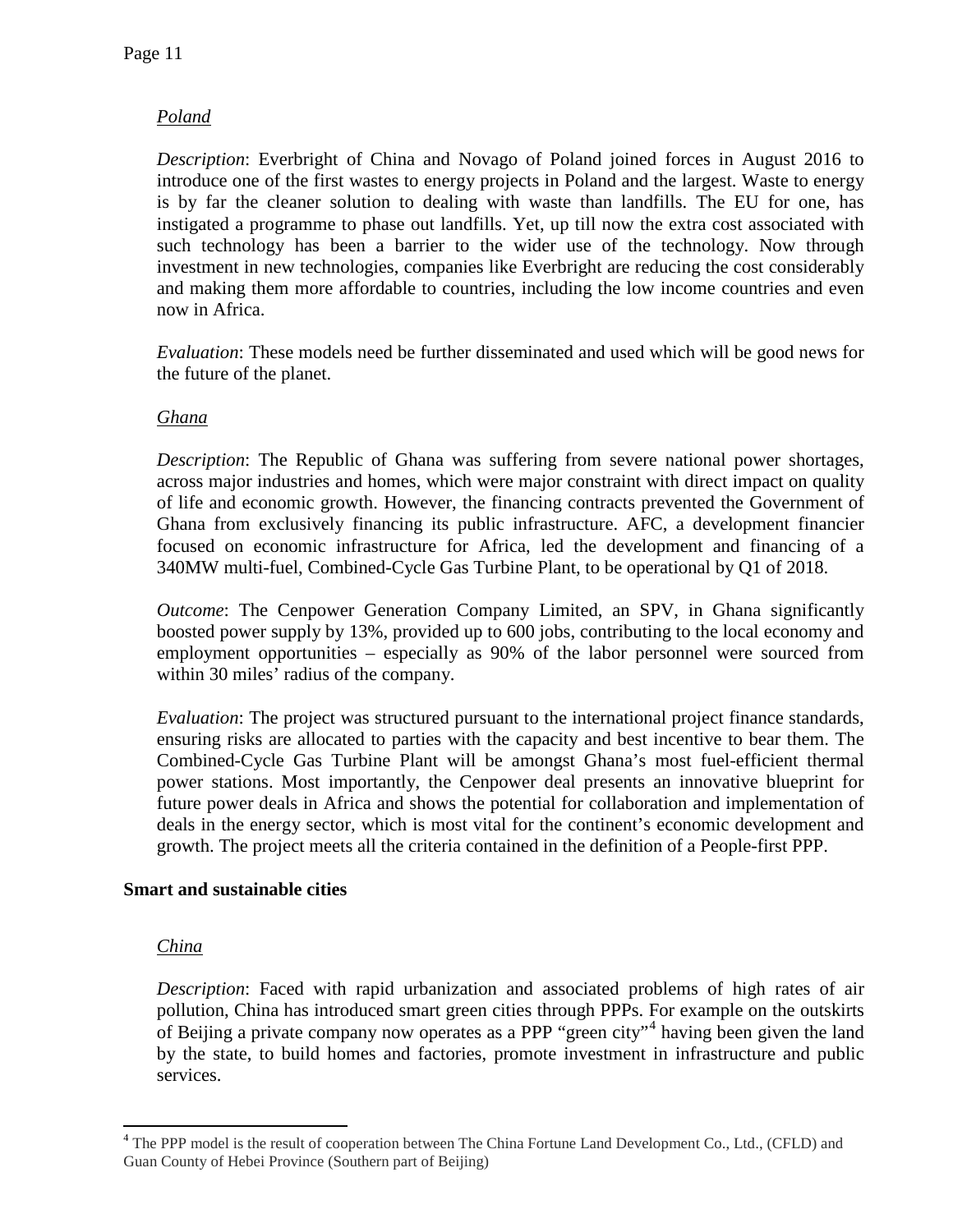# *Poland*

*Description*: Everbright of China and Novago of Poland joined forces in August 2016 to introduce one of the first wastes to energy projects in Poland and the largest. Waste to energy is by far the cleaner solution to dealing with waste than landfills. The EU for one, has instigated a programme to phase out landfills. Yet, up till now the extra cost associated with such technology has been a barrier to the wider use of the technology. Now through investment in new technologies, companies like Everbright are reducing the cost considerably and making them more affordable to countries, including the low income countries and even now in Africa.

*Evaluation*: These models need be further disseminated and used which will be good news for the future of the planet.

# *Ghana*

*Description*: The Republic of Ghana was suffering from severe national power shortages, across major industries and homes, which were major constraint with direct impact on quality of life and economic growth. However, the financing contracts prevented the Government of Ghana from exclusively financing its public infrastructure. AFC, a development financier focused on economic infrastructure for Africa, led the development and financing of a 340MW multi-fuel, Combined-Cycle Gas Turbine Plant, to be operational by Q1 of 2018.

*Outcome*: The Cenpower Generation Company Limited, an SPV, in Ghana significantly boosted power supply by 13%, provided up to 600 jobs, contributing to the local economy and employment opportunities – especially as 90% of the labor personnel were sourced from within 30 miles' radius of the company.

*Evaluation*: The project was structured pursuant to the international project finance standards, ensuring risks are allocated to parties with the capacity and best incentive to bear them. The Combined-Cycle Gas Turbine Plant will be amongst Ghana's most fuel-efficient thermal power stations. Most importantly, the Cenpower deal presents an innovative blueprint for future power deals in Africa and shows the potential for collaboration and implementation of deals in the energy sector, which is most vital for the continent's economic development and growth. The project meets all the criteria contained in the definition of a People-first PPP.

#### **Smart and sustainable cities**

#### *China*

*Description*: Faced with rapid urbanization and associated problems of high rates of air pollution, China has introduced smart green cities through PPPs. For example on the outskirts of Beijing a private company now operates as a PPP "green city"[4](#page-10-0) having been given the land by the state, to build homes and factories, promote investment in infrastructure and public services.

<span id="page-10-0"></span><sup>&</sup>lt;sup>4</sup> The PPP model is the result of cooperation between The China Fortune Land Development Co., Ltd., (CFLD) and Guan County of Hebei Province (Southern part of Beijing)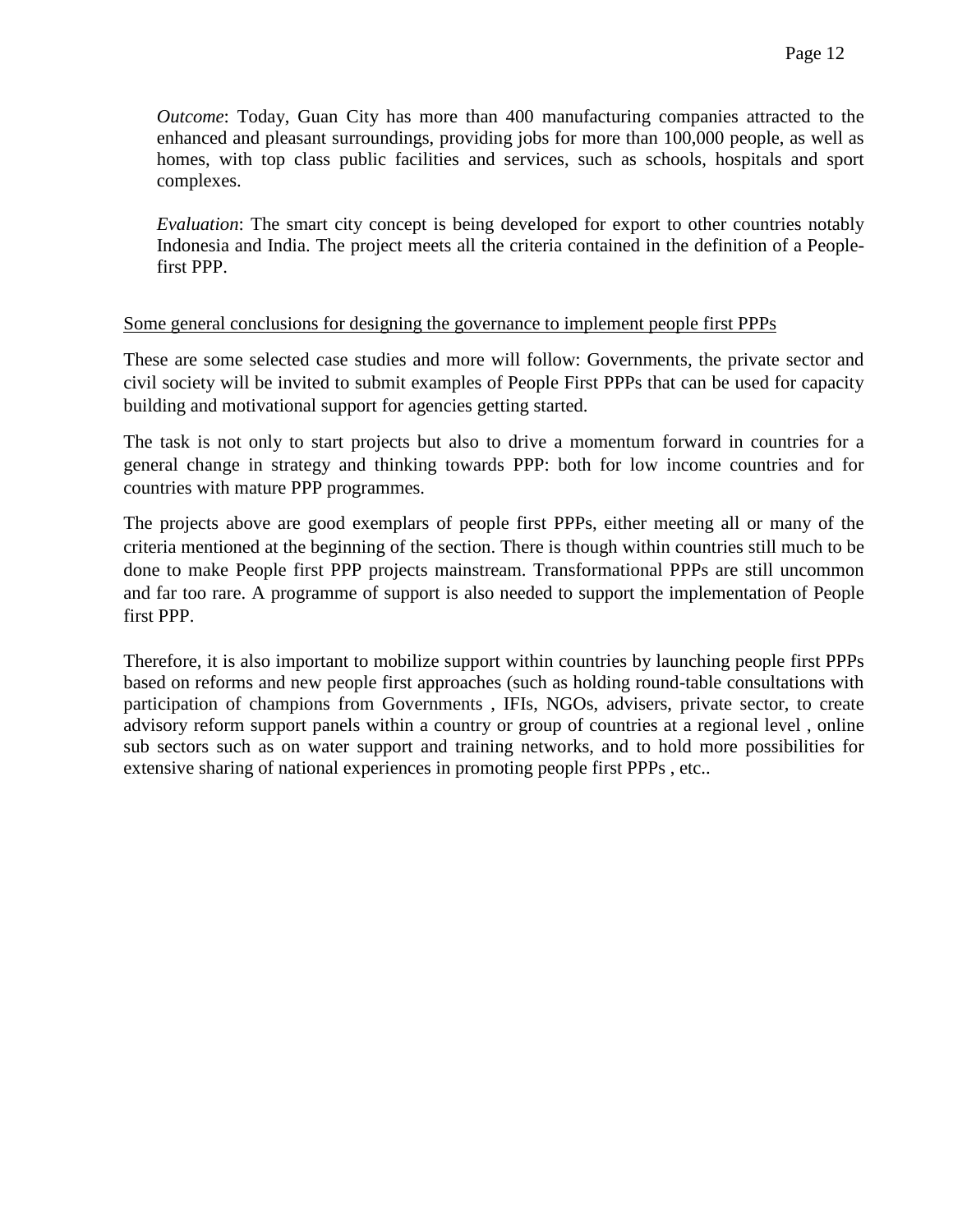*Outcome*: Today, Guan City has more than 400 manufacturing companies attracted to the enhanced and pleasant surroundings, providing jobs for more than 100,000 people, as well as homes, with top class public facilities and services, such as schools, hospitals and sport complexes.

*Evaluation*: The smart city concept is being developed for export to other countries notably Indonesia and India. The project meets all the criteria contained in the definition of a Peoplefirst PPP.

#### Some general conclusions for designing the governance to implement people first PPPs

These are some selected case studies and more will follow: Governments, the private sector and civil society will be invited to submit examples of People First PPPs that can be used for capacity building and motivational support for agencies getting started.

The task is not only to start projects but also to drive a momentum forward in countries for a general change in strategy and thinking towards PPP: both for low income countries and for countries with mature PPP programmes.

The projects above are good exemplars of people first PPPs, either meeting all or many of the criteria mentioned at the beginning of the section. There is though within countries still much to be done to make People first PPP projects mainstream. Transformational PPPs are still uncommon and far too rare. A programme of support is also needed to support the implementation of People first PPP.

Therefore, it is also important to mobilize support within countries by launching people first PPPs based on reforms and new people first approaches (such as holding round-table consultations with participation of champions from Governments , IFIs, NGOs, advisers, private sector, to create advisory reform support panels within a country or group of countries at a regional level , online sub sectors such as on water support and training networks, and to hold more possibilities for extensive sharing of national experiences in promoting people first PPPs , etc..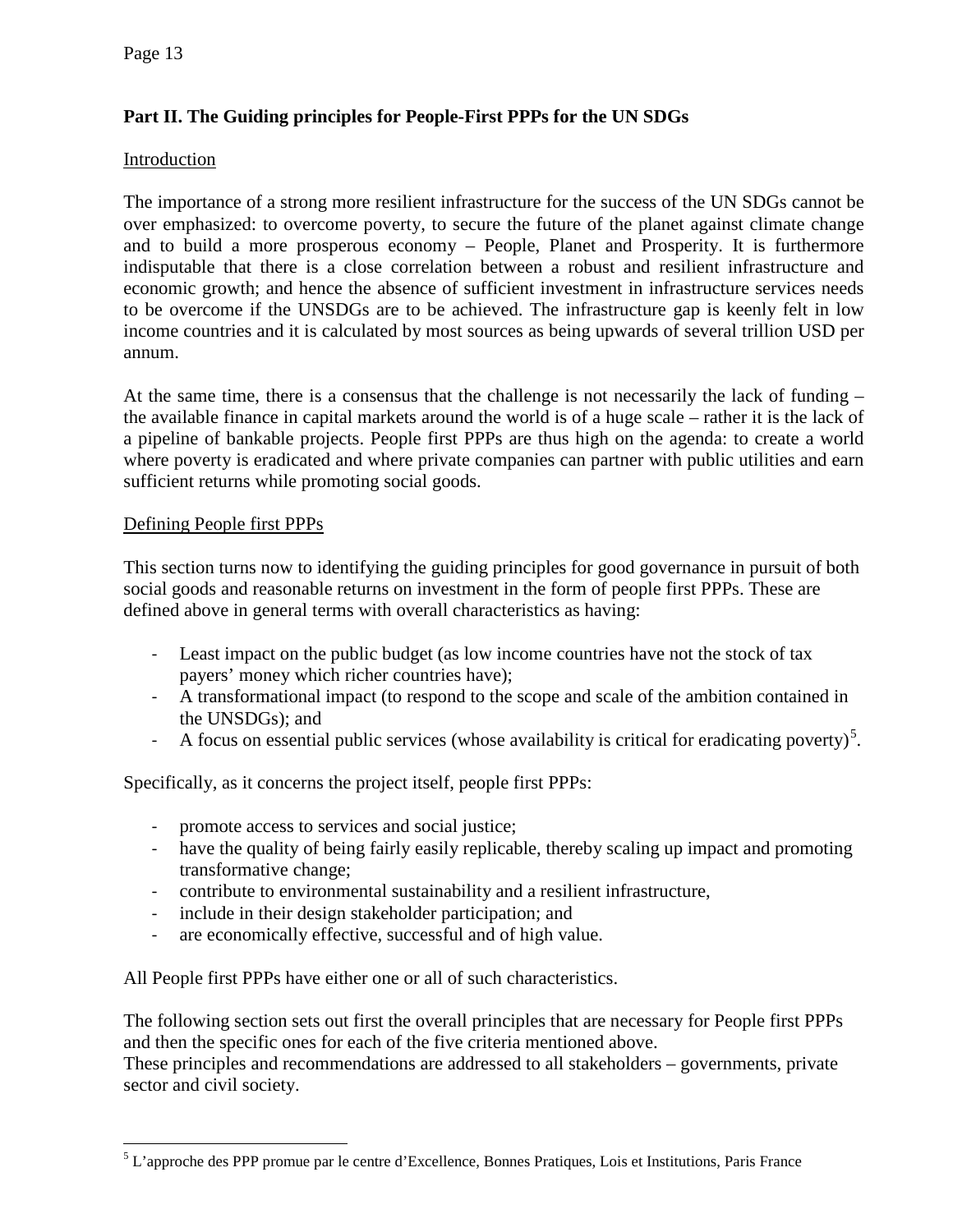# **Part II. The Guiding principles for People-First PPPs for the UN SDGs**

#### Introduction

The importance of a strong more resilient infrastructure for the success of the UN SDGs cannot be over emphasized: to overcome poverty, to secure the future of the planet against climate change and to build a more prosperous economy – People, Planet and Prosperity. It is furthermore indisputable that there is a close correlation between a robust and resilient infrastructure and economic growth; and hence the absence of sufficient investment in infrastructure services needs to be overcome if the UNSDGs are to be achieved. The infrastructure gap is keenly felt in low income countries and it is calculated by most sources as being upwards of several trillion USD per annum.

At the same time, there is a consensus that the challenge is not necessarily the lack of funding – the available finance in capital markets around the world is of a huge scale – rather it is the lack of a pipeline of bankable projects. People first PPPs are thus high on the agenda: to create a world where poverty is eradicated and where private companies can partner with public utilities and earn sufficient returns while promoting social goods.

#### Defining People first PPPs

This section turns now to identifying the guiding principles for good governance in pursuit of both social goods and reasonable returns on investment in the form of people first PPPs. These are defined above in general terms with overall characteristics as having:

- Least impact on the public budget (as low income countries have not the stock of tax payers' money which richer countries have);
- A transformational impact (to respond to the scope and scale of the ambition contained in the UNSDGs); and
- A focus on essential public services (whose availability is critical for eradicating poverty)<sup>[5](#page-12-0)</sup>.

Specifically, as it concerns the project itself, people first PPPs:

- promote access to services and social justice;
- have the quality of being fairly easily replicable, thereby scaling up impact and promoting transformative change;
- contribute to environmental sustainability and a resilient infrastructure,
- include in their design stakeholder participation; and
- are economically effective, successful and of high value.

All People first PPPs have either one or all of such characteristics.

The following section sets out first the overall principles that are necessary for People first PPPs and then the specific ones for each of the five criteria mentioned above.

These principles and recommendations are addressed to all stakeholders – governments, private sector and civil society.

<span id="page-12-0"></span><sup>&</sup>lt;sup>5</sup> L'approche des PPP promue par le centre d'Excellence, Bonnes Pratiques, Lois et Institutions, Paris France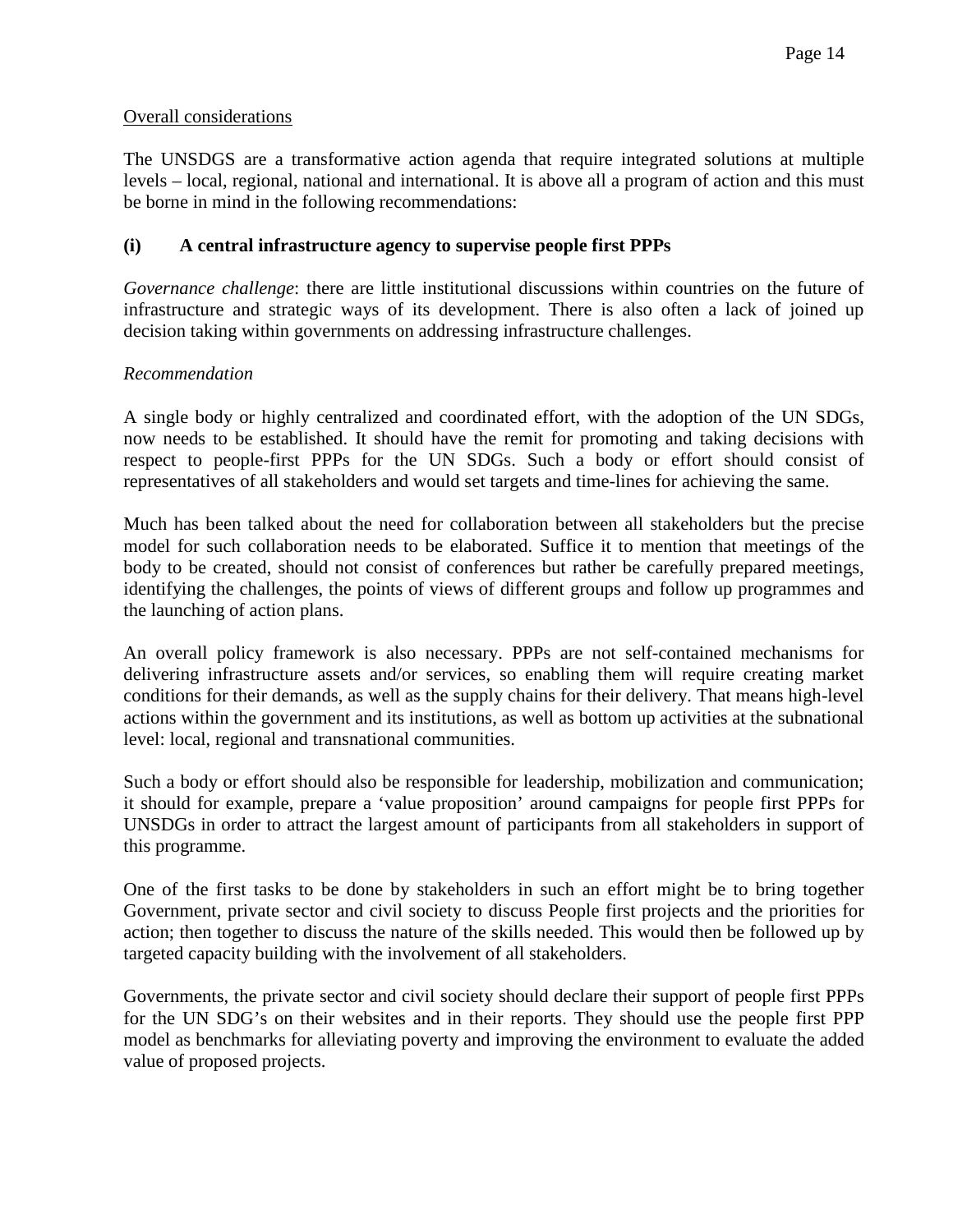#### Overall considerations

The UNSDGS are a transformative action agenda that require integrated solutions at multiple levels – local, regional, national and international. It is above all a program of action and this must be borne in mind in the following recommendations:

#### **(i) A central infrastructure agency to supervise people first PPPs**

*Governance challenge*: there are little institutional discussions within countries on the future of infrastructure and strategic ways of its development. There is also often a lack of joined up decision taking within governments on addressing infrastructure challenges.

#### *Recommendation*

A single body or highly centralized and coordinated effort, with the adoption of the UN SDGs, now needs to be established. It should have the remit for promoting and taking decisions with respect to people-first PPPs for the UN SDGs. Such a body or effort should consist of representatives of all stakeholders and would set targets and time-lines for achieving the same.

Much has been talked about the need for collaboration between all stakeholders but the precise model for such collaboration needs to be elaborated. Suffice it to mention that meetings of the body to be created, should not consist of conferences but rather be carefully prepared meetings, identifying the challenges, the points of views of different groups and follow up programmes and the launching of action plans.

An overall policy framework is also necessary. PPPs are not self-contained mechanisms for delivering infrastructure assets and/or services, so enabling them will require creating market conditions for their demands, as well as the supply chains for their delivery. That means high-level actions within the government and its institutions, as well as bottom up activities at the subnational level: local, regional and transnational communities.

Such a body or effort should also be responsible for leadership, mobilization and communication; it should for example, prepare a 'value proposition' around campaigns for people first PPPs for UNSDGs in order to attract the largest amount of participants from all stakeholders in support of this programme.

One of the first tasks to be done by stakeholders in such an effort might be to bring together Government, private sector and civil society to discuss People first projects and the priorities for action; then together to discuss the nature of the skills needed. This would then be followed up by targeted capacity building with the involvement of all stakeholders.

Governments, the private sector and civil society should declare their support of people first PPPs for the UN SDG's on their websites and in their reports. They should use the people first PPP model as benchmarks for alleviating poverty and improving the environment to evaluate the added value of proposed projects.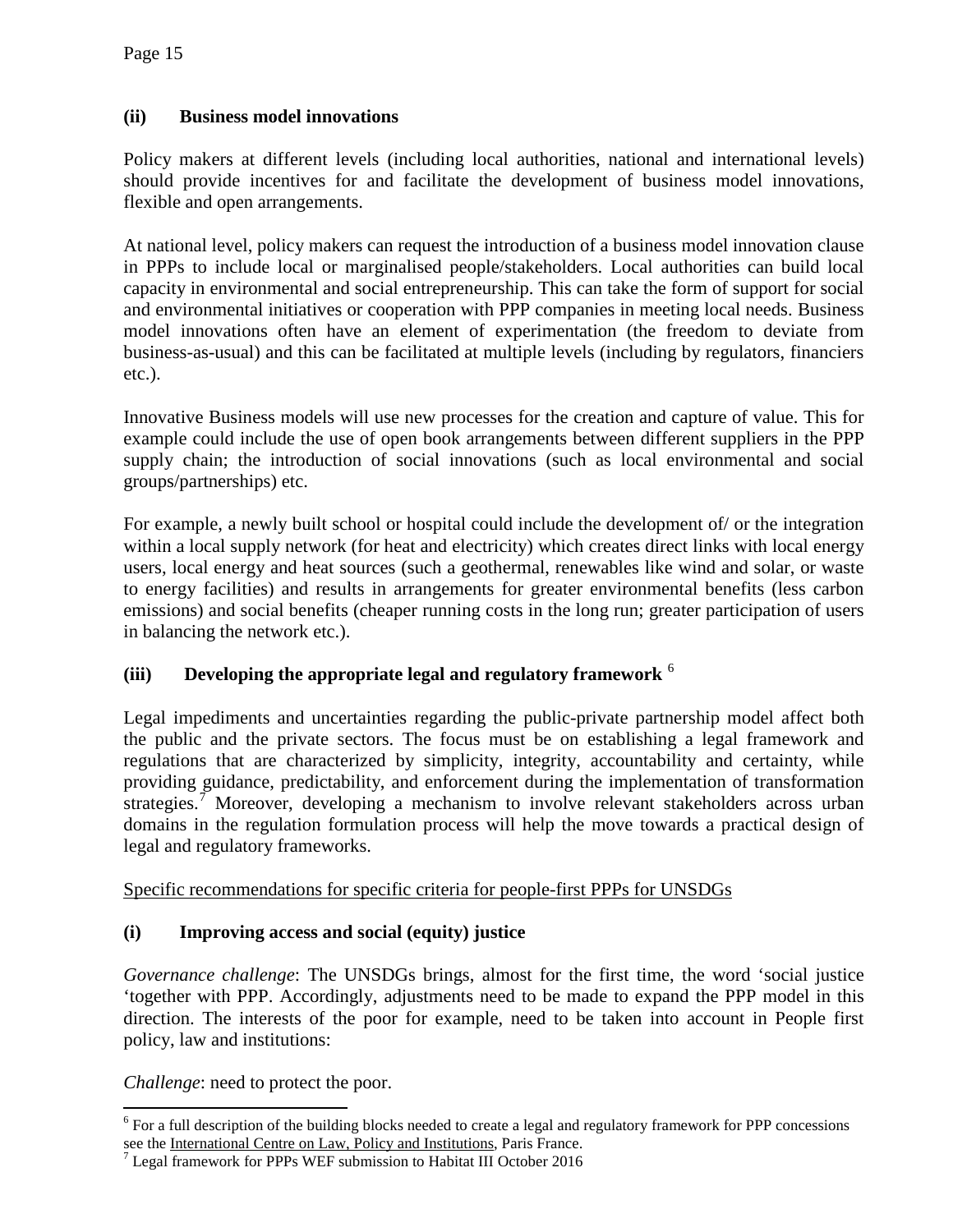# **(ii) Business model innovations**

Policy makers at different levels (including local authorities, national and international levels) should provide incentives for and facilitate the development of business model innovations, flexible and open arrangements.

At national level, policy makers can request the introduction of a business model innovation clause in PPPs to include local or marginalised people/stakeholders. Local authorities can build local capacity in environmental and social entrepreneurship. This can take the form of support for social and environmental initiatives or cooperation with PPP companies in meeting local needs. Business model innovations often have an element of experimentation (the freedom to deviate from business-as-usual) and this can be facilitated at multiple levels (including by regulators, financiers etc.).

Innovative Business models will use new processes for the creation and capture of value. This for example could include the use of open book arrangements between different suppliers in the PPP supply chain; the introduction of social innovations (such as local environmental and social groups/partnerships) etc.

For example, a newly built school or hospital could include the development of/ or the integration within a local supply network (for heat and electricity) which creates direct links with local energy users, local energy and heat sources (such a geothermal, renewables like wind and solar, or waste to energy facilities) and results in arrangements for greater environmental benefits (less carbon emissions) and social benefits (cheaper running costs in the long run; greater participation of users in balancing the network etc.).

# **(iii) Developing the appropriate legal and regulatory framework** [6](#page-14-0)

Legal impediments and uncertainties regarding the public-private partnership model affect both the public and the private sectors. The focus must be on establishing a legal framework and regulations that are characterized by simplicity, integrity, accountability and certainty, while providing guidance, predictability, and enforcement during the implementation of transformation strategies.<sup>[7](#page-14-1)</sup> Moreover, developing a mechanism to involve relevant stakeholders across urban domains in the regulation formulation process will help the move towards a practical design of legal and regulatory frameworks.

Specific recommendations for specific criteria for people-first PPPs for UNSDGs

#### **(i) Improving access and social (equity) justice**

*Governance challenge*: The UNSDGs brings, almost for the first time, the word 'social justice 'together with PPP. Accordingly, adjustments need to be made to expand the PPP model in this direction. The interests of the poor for example, need to be taken into account in People first policy, law and institutions:

*Challenge*: need to protect the poor.

<span id="page-14-0"></span> $6$  For a full description of the building blocks needed to create a legal and regulatory framework for PPP concessions see the International Centre on Law, Policy and Institutions, Paris France.

<span id="page-14-1"></span> $\frac{7}{1}$  Legal framework for PPPs WEF submission to Habitat III October 2016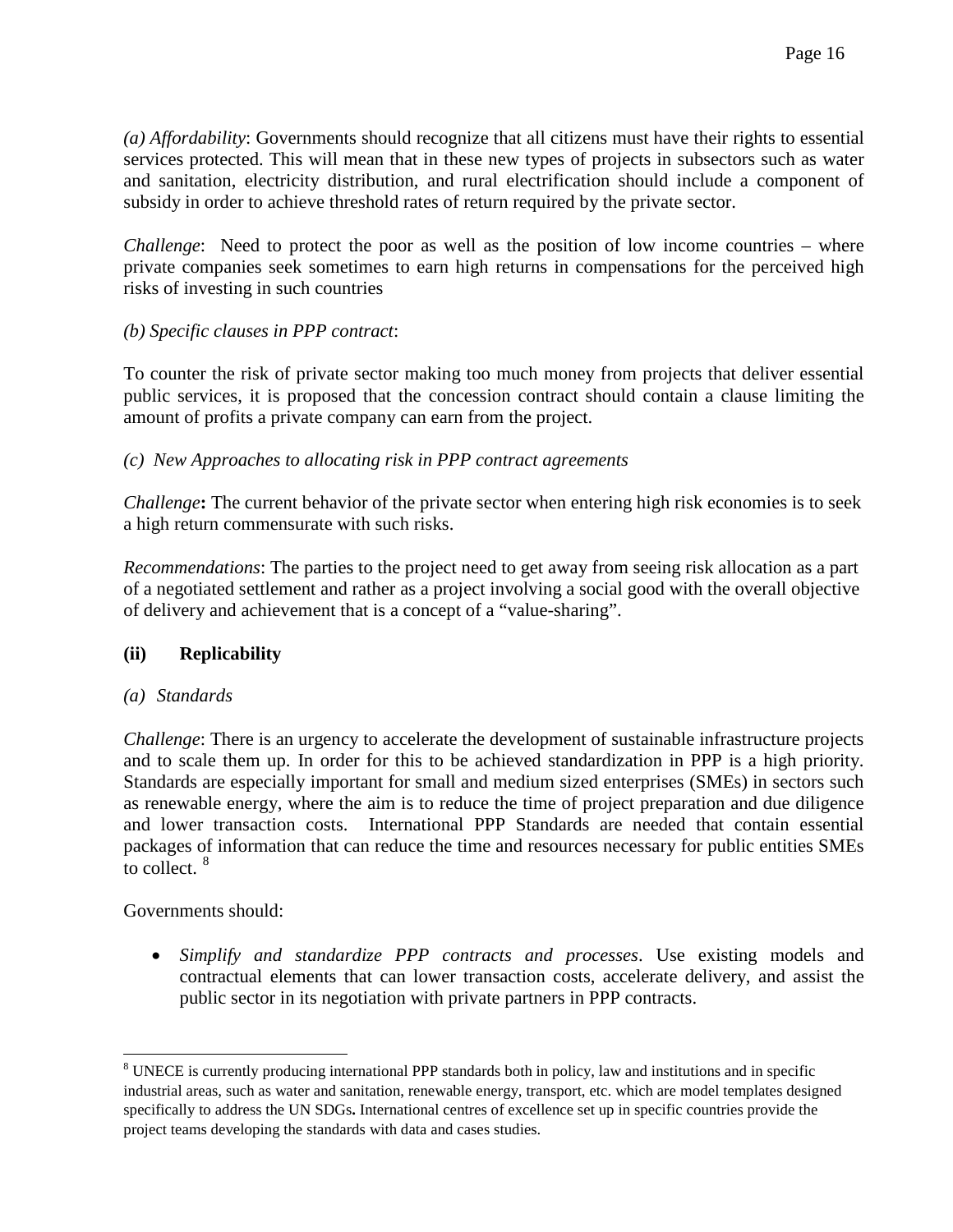*(a) Affordability*: Governments should recognize that all citizens must have their rights to essential services protected. This will mean that in these new types of projects in subsectors such as water and sanitation, electricity distribution, and rural electrification should include a component of subsidy in order to achieve threshold rates of return required by the private sector.

*Challenge*: Need to protect the poor as well as the position of low income countries – where private companies seek sometimes to earn high returns in compensations for the perceived high risks of investing in such countries

#### *(b) Specific clauses in PPP contract*:

To counter the risk of private sector making too much money from projects that deliver essential public services, it is proposed that the concession contract should contain a clause limiting the amount of profits a private company can earn from the project.

#### *(c) New Approaches to allocating risk in PPP contract agreements*

*Challenge***:** The current behavior of the private sector when entering high risk economies is to seek a high return commensurate with such risks.

*Recommendations*: The parties to the project need to get away from seeing risk allocation as a part of a negotiated settlement and rather as a project involving a social good with the overall objective of delivery and achievement that is a concept of a "value-sharing".

#### **(ii) Replicability**

#### *(a) Standards*

*Challenge*: There is an urgency to accelerate the development of sustainable infrastructure projects and to scale them up. In order for this to be achieved standardization in PPP is a high priority. Standards are especially important for small and medium sized enterprises (SMEs) in sectors such as renewable energy, where the aim is to reduce the time of project preparation and due diligence and lower transaction costs. International PPP Standards are needed that contain essential packages of information that can reduce the time and resources necessary for public entities SMEs to collect.  $8$ 

Governments should:

• *Simplify and standardize PPP contracts and processes*. Use existing models and contractual elements that can lower transaction costs, accelerate delivery, and assist the public sector in its negotiation with private partners in PPP contracts.

<span id="page-15-0"></span><sup>&</sup>lt;sup>8</sup> UNECE is currently producing international PPP standards both in policy, law and institutions and in specific industrial areas, such as water and sanitation, renewable energy, transport, etc. which are model templates designed specifically to address the UN SDGs**.** International centres of excellence set up in specific countries provide the project teams developing the standards with data and cases studies.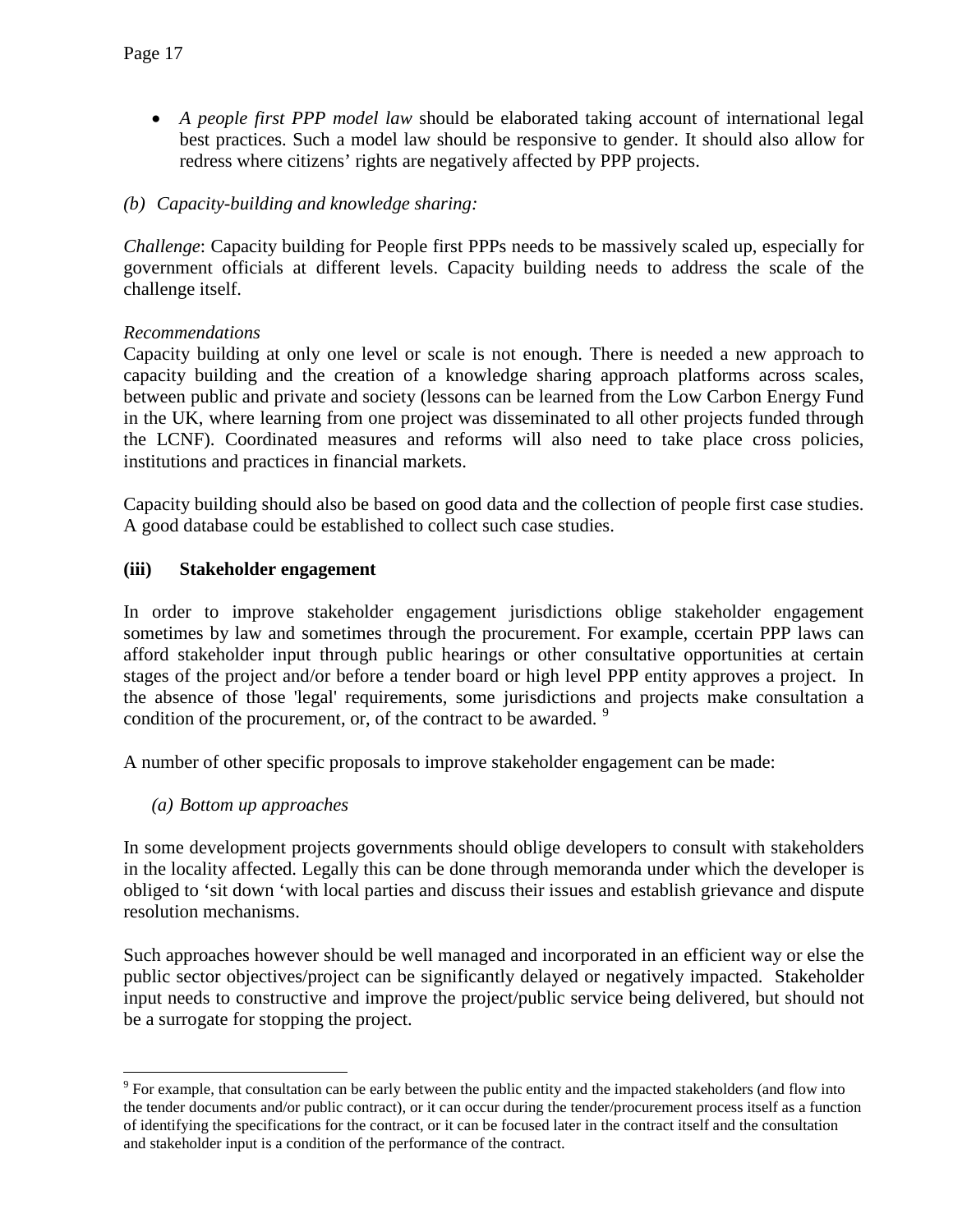- *A people first PPP model law* should be elaborated taking account of international legal best practices. Such a model law should be responsive to gender. It should also allow for redress where citizens' rights are negatively affected by PPP projects.
- *(b) Capacity-building and knowledge sharing:*

*Challenge*: Capacity building for People first PPPs needs to be massively scaled up, especially for government officials at different levels. Capacity building needs to address the scale of the challenge itself.

# *Recommendations*

Capacity building at only one level or scale is not enough. There is needed a new approach to capacity building and the creation of a knowledge sharing approach platforms across scales, between public and private and society (lessons can be learned from the Low Carbon Energy Fund in the UK, where learning from one project was disseminated to all other projects funded through the LCNF). Coordinated measures and reforms will also need to take place cross policies, institutions and practices in financial markets.

Capacity building should also be based on good data and the collection of people first case studies. A good database could be established to collect such case studies.

# **(iii) Stakeholder engagement**

In order to improve stakeholder engagement jurisdictions oblige stakeholder engagement sometimes by law and sometimes through the procurement. For example, ccertain PPP laws can afford stakeholder input through public hearings or other consultative opportunities at certain stages of the project and/or before a tender board or high level PPP entity approves a project. In the absence of those 'legal' requirements, some jurisdictions and projects make consultation a condition of the procurement, or, of the contract to be awarded. <sup>[9](#page-16-0)</sup>

A number of other specific proposals to improve stakeholder engagement can be made:

*(a) Bottom up approaches* 

In some development projects governments should oblige developers to consult with stakeholders in the locality affected. Legally this can be done through memoranda under which the developer is obliged to 'sit down 'with local parties and discuss their issues and establish grievance and dispute resolution mechanisms.

Such approaches however should be well managed and incorporated in an efficient way or else the public sector objectives/project can be significantly delayed or negatively impacted. Stakeholder input needs to constructive and improve the project/public service being delivered, but should not be a surrogate for stopping the project.

<span id="page-16-0"></span><sup>&</sup>lt;sup>9</sup> For example, that consultation can be early between the public entity and the impacted stakeholders (and flow into the tender documents and/or public contract), or it can occur during the tender/procurement process itself as a function of identifying the specifications for the contract, or it can be focused later in the contract itself and the consultation and stakeholder input is a condition of the performance of the contract.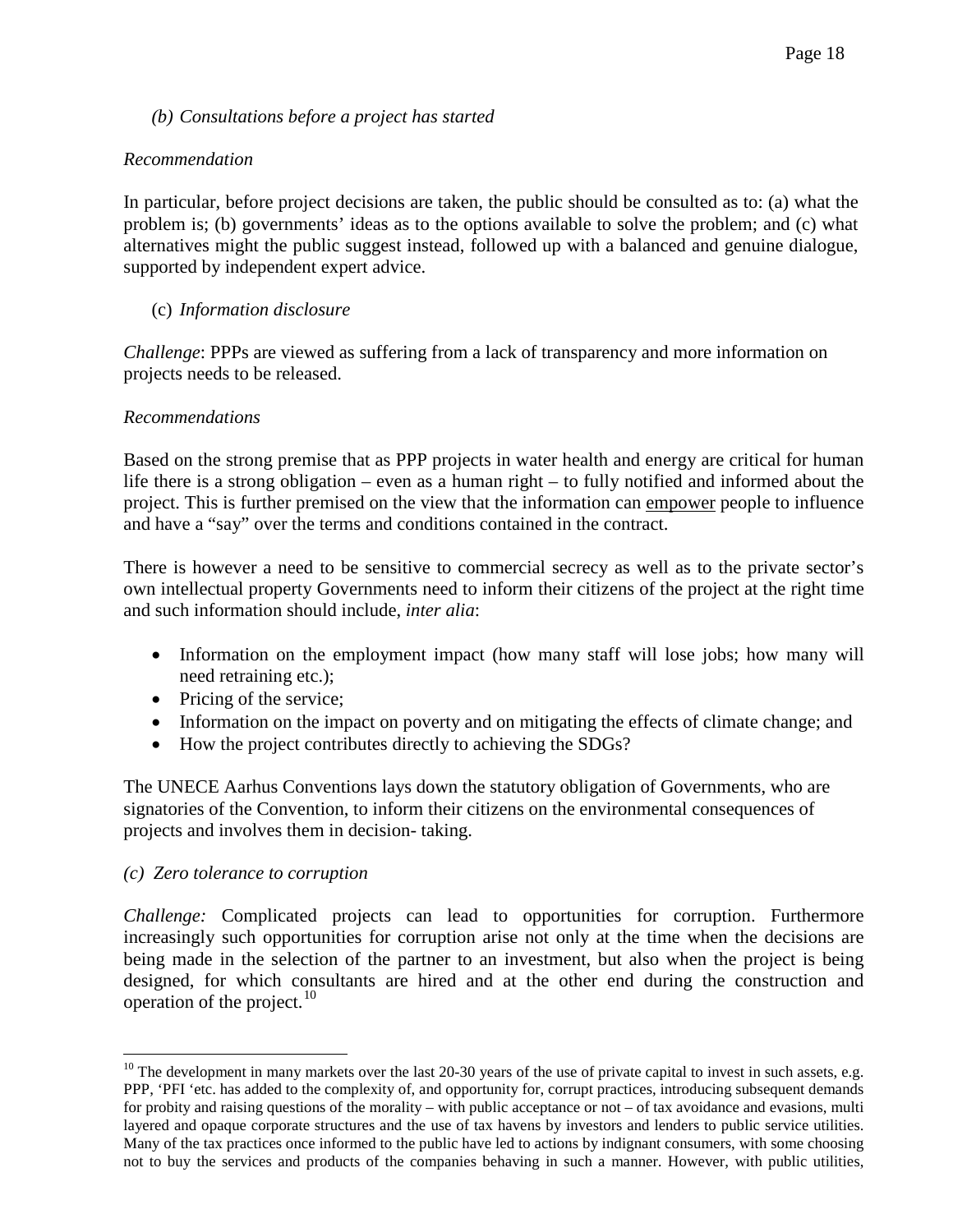#### *(b) Consultations before a project has started*

#### *Recommendation*

In particular, before project decisions are taken, the public should be consulted as to: (a) what the problem is; (b) governments' ideas as to the options available to solve the problem; and (c) what alternatives might the public suggest instead, followed up with a balanced and genuine dialogue, supported by independent expert advice.

#### (c) *Information disclosure*

*Challenge*: PPPs are viewed as suffering from a lack of transparency and more information on projects needs to be released.

#### *Recommendations*

Based on the strong premise that as PPP projects in water health and energy are critical for human life there is a strong obligation – even as a human right – to fully notified and informed about the project. This is further premised on the view that the information can empower people to influence and have a "say" over the terms and conditions contained in the contract.

There is however a need to be sensitive to commercial secrecy as well as to the private sector's own intellectual property Governments need to inform their citizens of the project at the right time and such information should include, *inter alia*:

- Information on the employment impact (how many staff will lose jobs; how many will need retraining etc.);
- Pricing of the service;
- Information on the impact on poverty and on mitigating the effects of climate change; and
- How the project contributes directly to achieving the SDGs?

The UNECE Aarhus Conventions lays down the statutory obligation of Governments, who are signatories of the Convention, to inform their citizens on the environmental consequences of projects and involves them in decision- taking.

#### *(c)**Zero tolerance to corruption*

*Challenge:* Complicated projects can lead to opportunities for corruption. Furthermore increasingly such opportunities for corruption arise not only at the time when the decisions are being made in the selection of the partner to an investment, but also when the project is being designed, for which consultants are hired and at the other end during the construction and operation of the project. $10$ 

<span id="page-17-0"></span> $10$  The development in many markets over the last 20-30 years of the use of private capital to invest in such assets, e.g. PPP, 'PFI 'etc. has added to the complexity of, and opportunity for, corrupt practices, introducing subsequent demands for probity and raising questions of the morality – with public acceptance or not – of tax avoidance and evasions, multi layered and opaque corporate structures and the use of tax havens by investors and lenders to public service utilities. Many of the tax practices once informed to the public have led to actions by indignant consumers, with some choosing not to buy the services and products of the companies behaving in such a manner. However, with public utilities,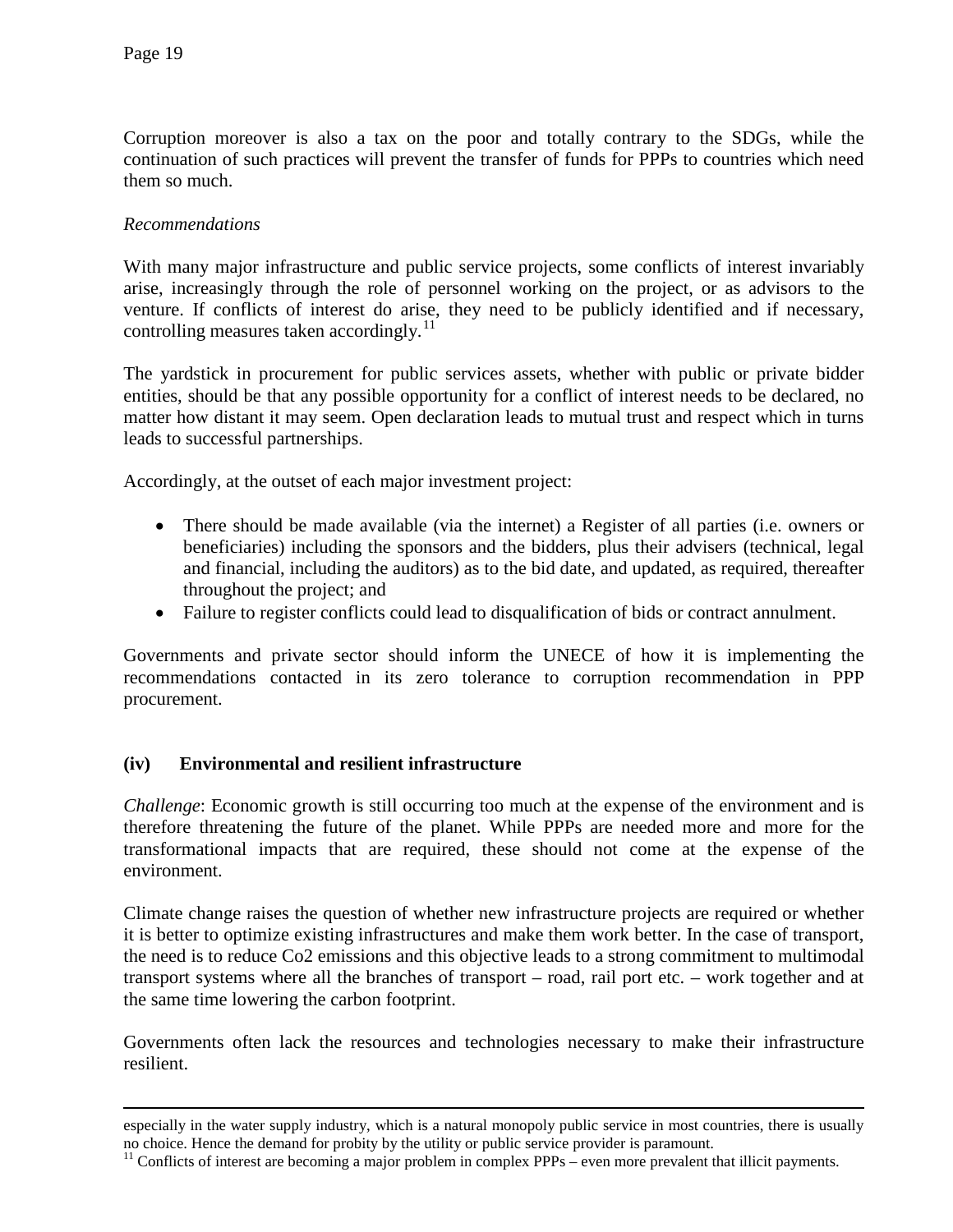$\overline{a}$ 

Corruption moreover is also a tax on the poor and totally contrary to the SDGs, while the continuation of such practices will prevent the transfer of funds for PPPs to countries which need them so much.

#### *Recommendations*

With many major infrastructure and public service projects, some conflicts of interest invariably arise, increasingly through the role of personnel working on the project, or as advisors to the venture. If conflicts of interest do arise, they need to be publicly identified and if necessary, controlling measures taken accordingly.<sup>[11](#page-18-0)</sup>

The yardstick in procurement for public services assets, whether with public or private bidder entities, should be that any possible opportunity for a conflict of interest needs to be declared, no matter how distant it may seem. Open declaration leads to mutual trust and respect which in turns leads to successful partnerships.

Accordingly, at the outset of each major investment project:

- There should be made available (via the internet) a Register of all parties (i.e. owners or beneficiaries) including the sponsors and the bidders, plus their advisers (technical, legal and financial, including the auditors) as to the bid date, and updated, as required, thereafter throughout the project; and
- Failure to register conflicts could lead to disqualification of bids or contract annulment.

Governments and private sector should inform the UNECE of how it is implementing the recommendations contacted in its zero tolerance to corruption recommendation in PPP procurement.

#### **(iv) Environmental and resilient infrastructure**

*Challenge*: Economic growth is still occurring too much at the expense of the environment and is therefore threatening the future of the planet. While PPPs are needed more and more for the transformational impacts that are required, these should not come at the expense of the environment.

Climate change raises the question of whether new infrastructure projects are required or whether it is better to optimize existing infrastructures and make them work better. In the case of transport, the need is to reduce Co2 emissions and this objective leads to a strong commitment to multimodal transport systems where all the branches of transport – road, rail port etc. – work together and at the same time lowering the carbon footprint.

Governments often lack the resources and technologies necessary to make their infrastructure resilient.

especially in the water supply industry, which is a natural monopoly public service in most countries, there is usually no choice. Hence the demand for probity by the utility or public service provider is paramount.

<span id="page-18-0"></span> $11$  Conflicts of interest are becoming a major problem in complex PPPs – even more prevalent that illicit payments.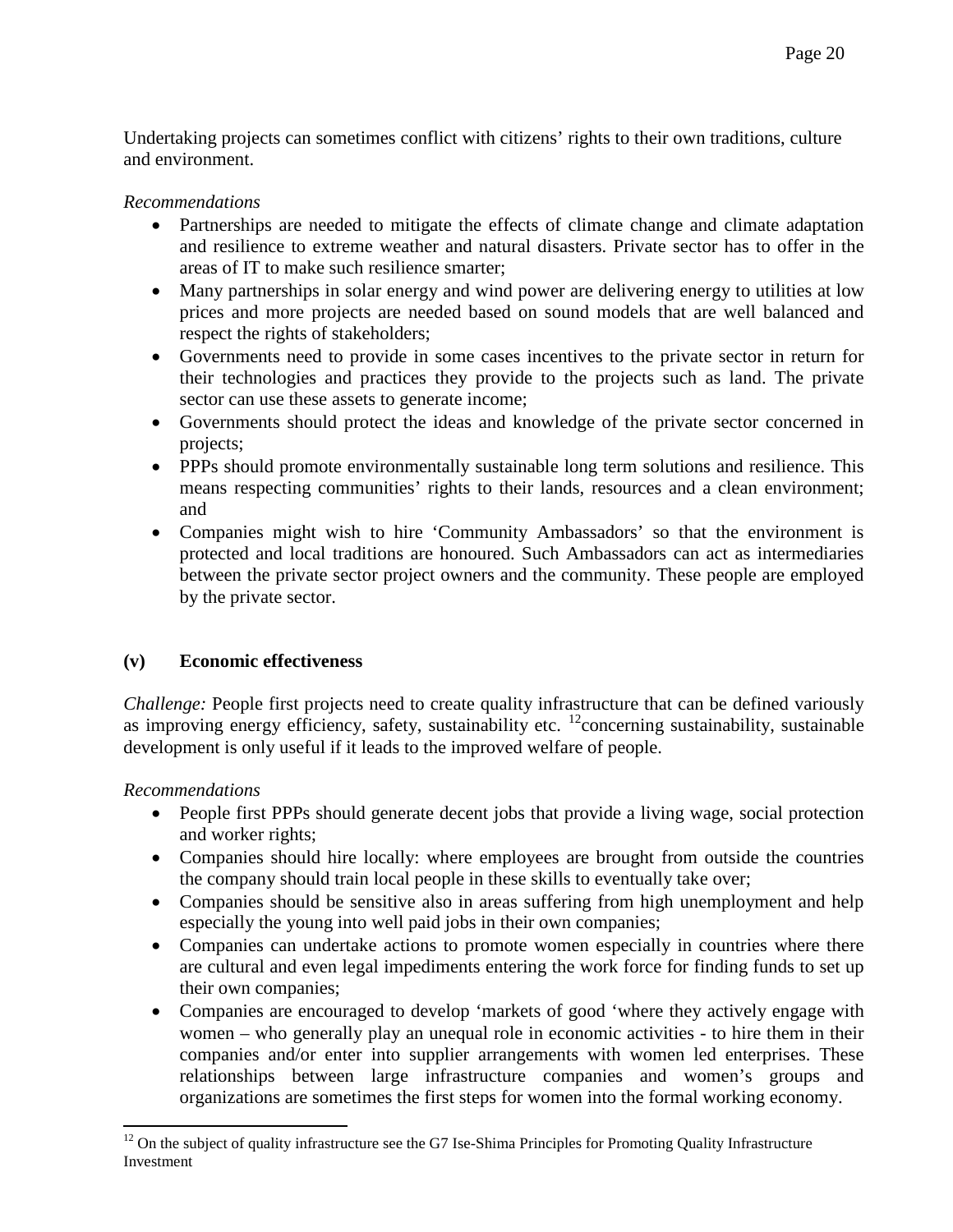Undertaking projects can sometimes conflict with citizens' rights to their own traditions, culture and environment.

#### *Recommendations*

- Partnerships are needed to mitigate the effects of climate change and climate adaptation and resilience to extreme weather and natural disasters. Private sector has to offer in the areas of IT to make such resilience smarter;
- Many partnerships in solar energy and wind power are delivering energy to utilities at low prices and more projects are needed based on sound models that are well balanced and respect the rights of stakeholders;
- Governments need to provide in some cases incentives to the private sector in return for their technologies and practices they provide to the projects such as land. The private sector can use these assets to generate income;
- Governments should protect the ideas and knowledge of the private sector concerned in projects;
- PPPs should promote environmentally sustainable long term solutions and resilience. This means respecting communities' rights to their lands, resources and a clean environment; and
- Companies might wish to hire 'Community Ambassadors' so that the environment is protected and local traditions are honoured. Such Ambassadors can act as intermediaries between the private sector project owners and the community. These people are employed by the private sector.

#### **(v) Economic effectiveness**

*Challenge:* People first projects need to create quality infrastructure that can be defined variously as improving energy efficiency, safety, sustainability etc.  $^{12}$ concerning sustainability, sustainable development is only useful if it leads to the improved welfare of people.

*Recommendations*

- People first PPPs should generate decent jobs that provide a living wage, social protection and worker rights;
- Companies should hire locally: where employees are brought from outside the countries the company should train local people in these skills to eventually take over;
- Companies should be sensitive also in areas suffering from high unemployment and help especially the young into well paid jobs in their own companies;
- Companies can undertake actions to promote women especially in countries where there are cultural and even legal impediments entering the work force for finding funds to set up their own companies;
- Companies are encouraged to develop 'markets of good 'where they actively engage with women – who generally play an unequal role in economic activities - to hire them in their companies and/or enter into supplier arrangements with women led enterprises. These relationships between large infrastructure companies and women's groups and organizations are sometimes the first steps for women into the formal working economy.

<span id="page-19-0"></span> $12$  On the subject of quality infrastructure see the G7 Ise-Shima Principles for Promoting Quality Infrastructure Investment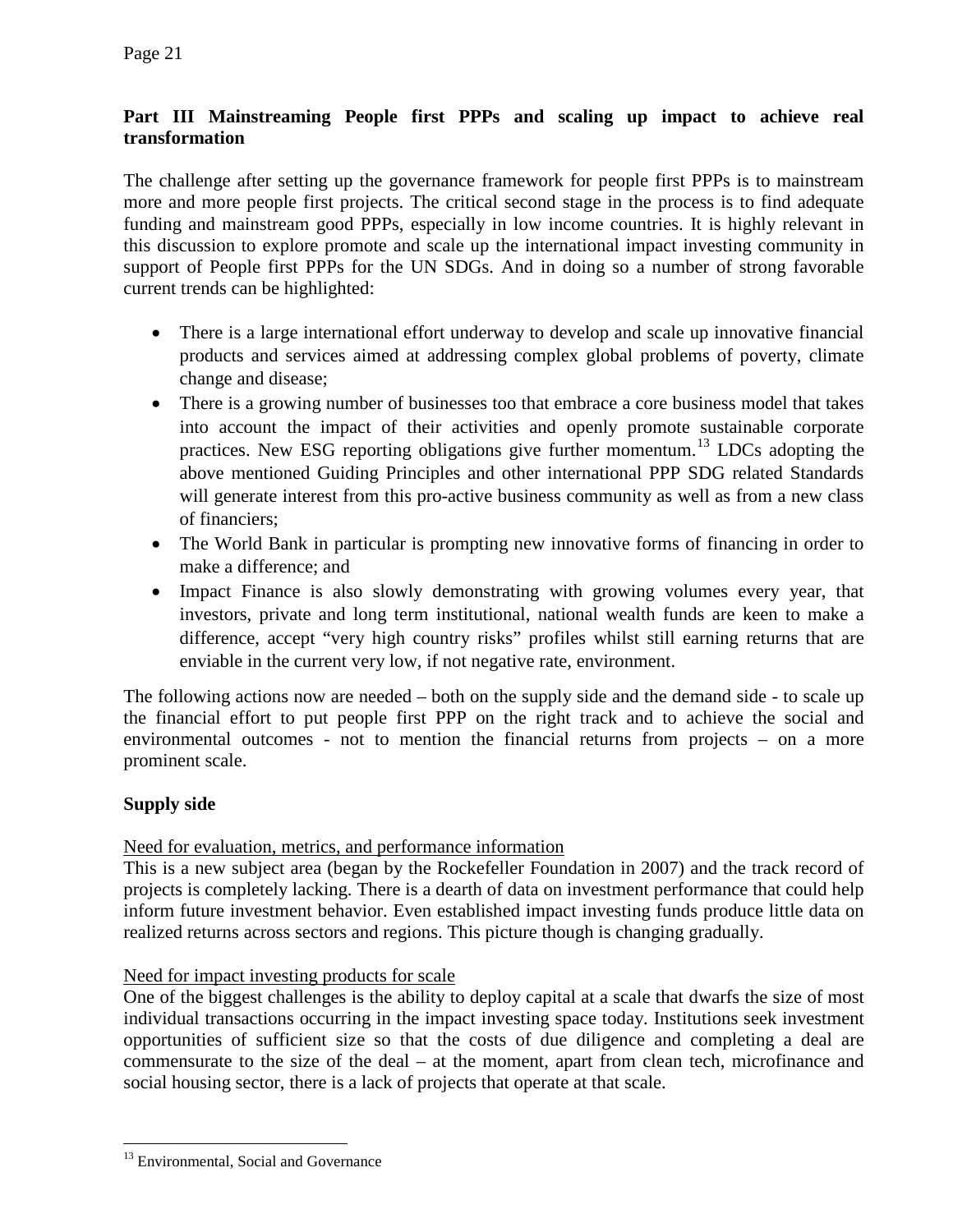# **Part III Mainstreaming People first PPPs and scaling up impact to achieve real transformation**

The challenge after setting up the governance framework for people first PPPs is to mainstream more and more people first projects. The critical second stage in the process is to find adequate funding and mainstream good PPPs, especially in low income countries. It is highly relevant in this discussion to explore promote and scale up the international impact investing community in support of People first PPPs for the UN SDGs. And in doing so a number of strong favorable current trends can be highlighted:

- There is a large international effort underway to develop and scale up innovative financial products and services aimed at addressing complex global problems of poverty, climate change and disease;
- There is a growing number of businesses too that embrace a core business model that takes into account the impact of their activities and openly promote sustainable corporate practices. New ESG reporting obligations give further momentum.[13](#page-20-0) LDCs adopting the above mentioned Guiding Principles and other international PPP SDG related Standards will generate interest from this pro-active business community as well as from a new class of financiers;
- The World Bank in particular is prompting new innovative forms of financing in order to make a difference; and
- Impact Finance is also slowly demonstrating with growing volumes every year, that investors, private and long term institutional, national wealth funds are keen to make a difference, accept "very high country risks" profiles whilst still earning returns that are enviable in the current very low, if not negative rate, environment.

The following actions now are needed – both on the supply side and the demand side - to scale up the financial effort to put people first PPP on the right track and to achieve the social and environmental outcomes - not to mention the financial returns from projects – on a more prominent scale.

# **Supply side**

#### Need for evaluation, metrics, and performance information

This is a new subject area (began by the Rockefeller Foundation in 2007) and the track record of projects is completely lacking. There is a dearth of data on investment performance that could help inform future investment behavior. Even established impact investing funds produce little data on realized returns across sectors and regions. This picture though is changing gradually.

#### Need for impact investing products for scale

One of the biggest challenges is the ability to deploy capital at a scale that dwarfs the size of most individual transactions occurring in the impact investing space today. Institutions seek investment opportunities of sufficient size so that the costs of due diligence and completing a deal are commensurate to the size of the deal – at the moment, apart from clean tech, microfinance and social housing sector, there is a lack of projects that operate at that scale.

<span id="page-20-0"></span><sup>&</sup>lt;sup>13</sup> Environmental, Social and Governance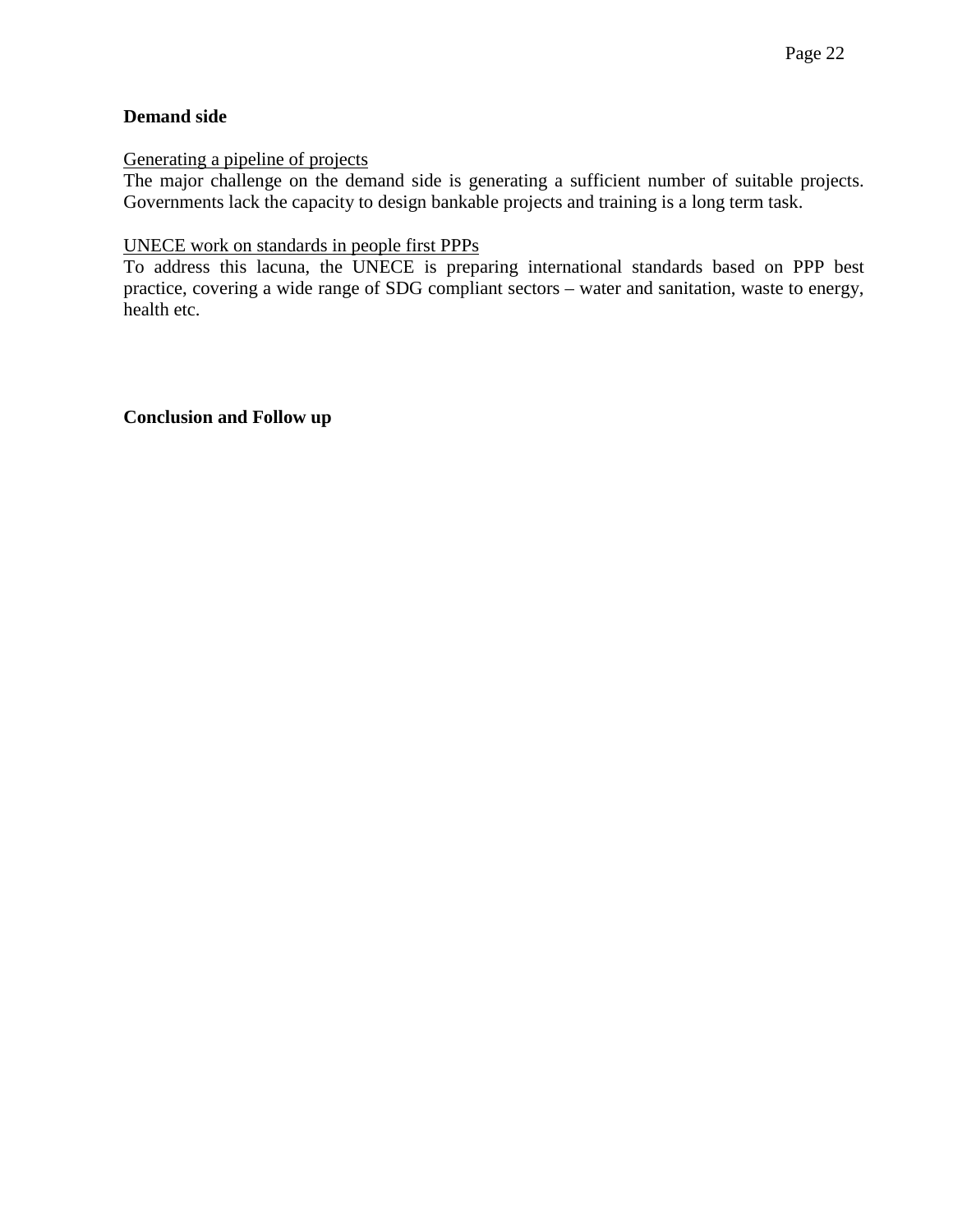#### **Demand side**

Generating a pipeline of projects

The major challenge on the demand side is generating a sufficient number of suitable projects. Governments lack the capacity to design bankable projects and training is a long term task.

#### UNECE work on standards in people first PPPs

To address this lacuna, the UNECE is preparing international standards based on PPP best practice, covering a wide range of SDG compliant sectors – water and sanitation, waste to energy, health etc.

**Conclusion and Follow up**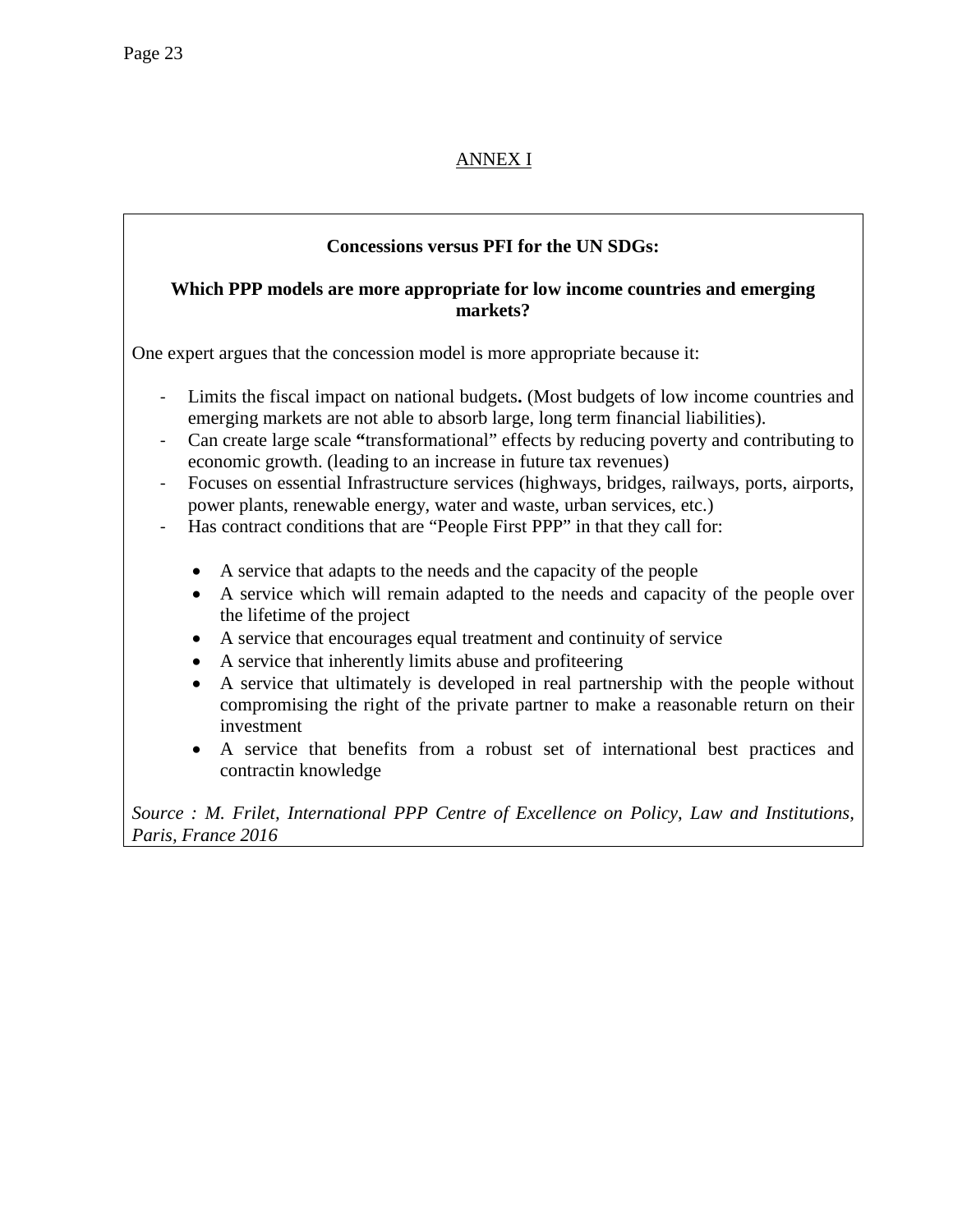# ANNEX I

# **Concessions versus PFI for the UN SDGs:**

#### **Which PPP models are more appropriate for low income countries and emerging markets?**

One expert argues that the concession model is more appropriate because it:

- Limits the fiscal impact on national budgets**.** (Most budgets of low income countries and emerging markets are not able to absorb large, long term financial liabilities).
- Can create large scale **"**transformational" effects by reducing poverty and contributing to economic growth. (leading to an increase in future tax revenues)
- Focuses on essential Infrastructure services (highways, bridges, railways, ports, airports, power plants, renewable energy, water and waste, urban services, etc.)
- Has contract conditions that are "People First PPP" in that they call for:
	- A service that adapts to the needs and the capacity of the people
	- A service which will remain adapted to the needs and capacity of the people over the lifetime of the project
	- A service that encourages equal treatment and continuity of service
	- A service that inherently limits abuse and profiteering
	- A service that ultimately is developed in real partnership with the people without compromising the right of the private partner to make a reasonable return on their investment
	- A service that benefits from a robust set of international best practices and contractin knowledge

*Source : M. Frilet, International PPP Centre of Excellence on Policy, Law and Institutions, Paris, France 2016*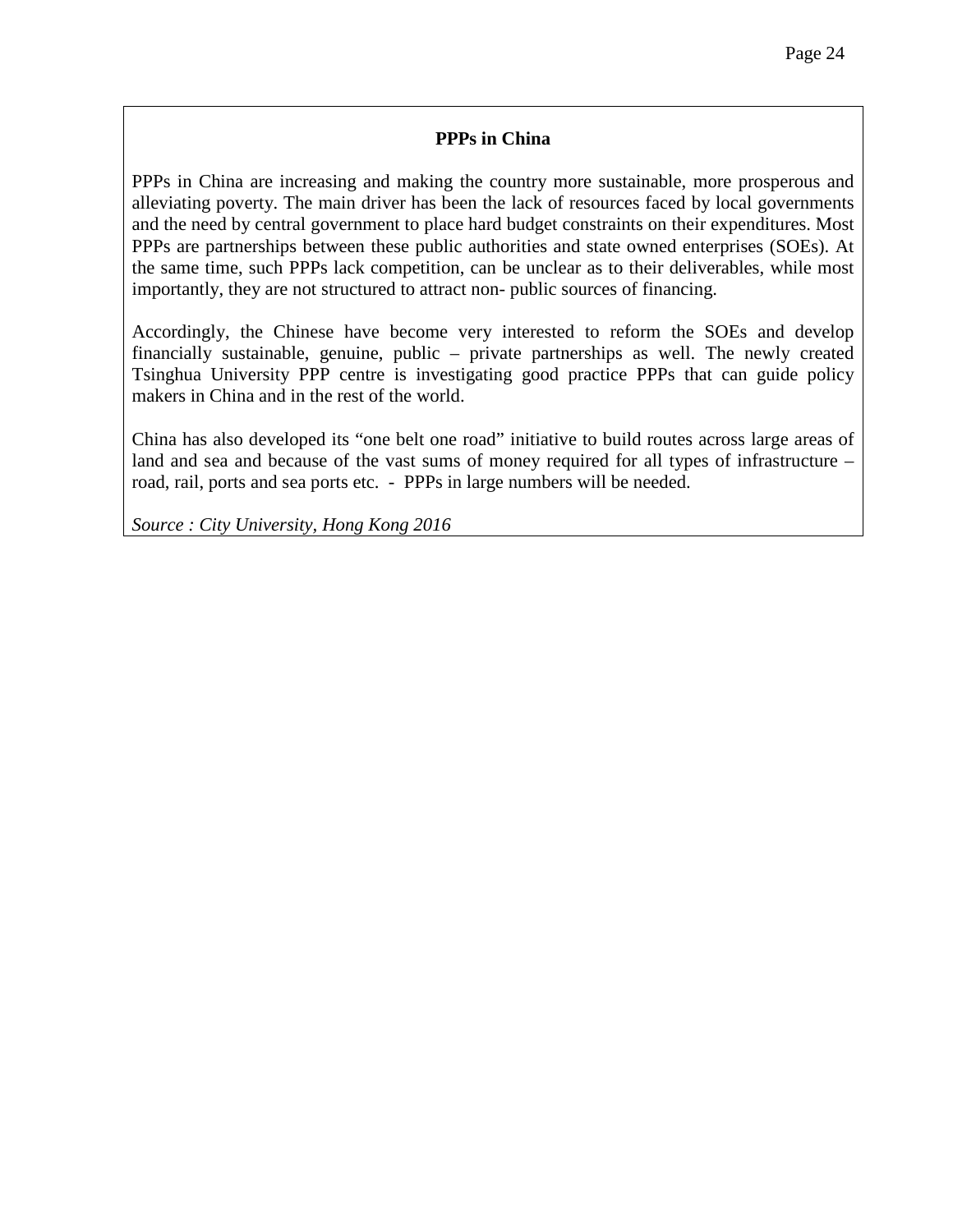#### **PPPs in China**

PPPs in China are increasing and making the country more sustainable, more prosperous and alleviating poverty. The main driver has been the lack of resources faced by local governments and the need by central government to place hard budget constraints on their expenditures. Most PPPs are partnerships between these public authorities and state owned enterprises (SOEs). At the same time, such PPPs lack competition, can be unclear as to their deliverables, while most importantly, they are not structured to attract non- public sources of financing.

Accordingly, the Chinese have become very interested to reform the SOEs and develop financially sustainable, genuine, public – private partnerships as well. The newly created Tsinghua University PPP centre is investigating good practice PPPs that can guide policy makers in China and in the rest of the world.

China has also developed its "one belt one road" initiative to build routes across large areas of land and sea and because of the vast sums of money required for all types of infrastructure – road, rail, ports and sea ports etc. - PPPs in large numbers will be needed.

*Source : City University, Hong Kong 2016*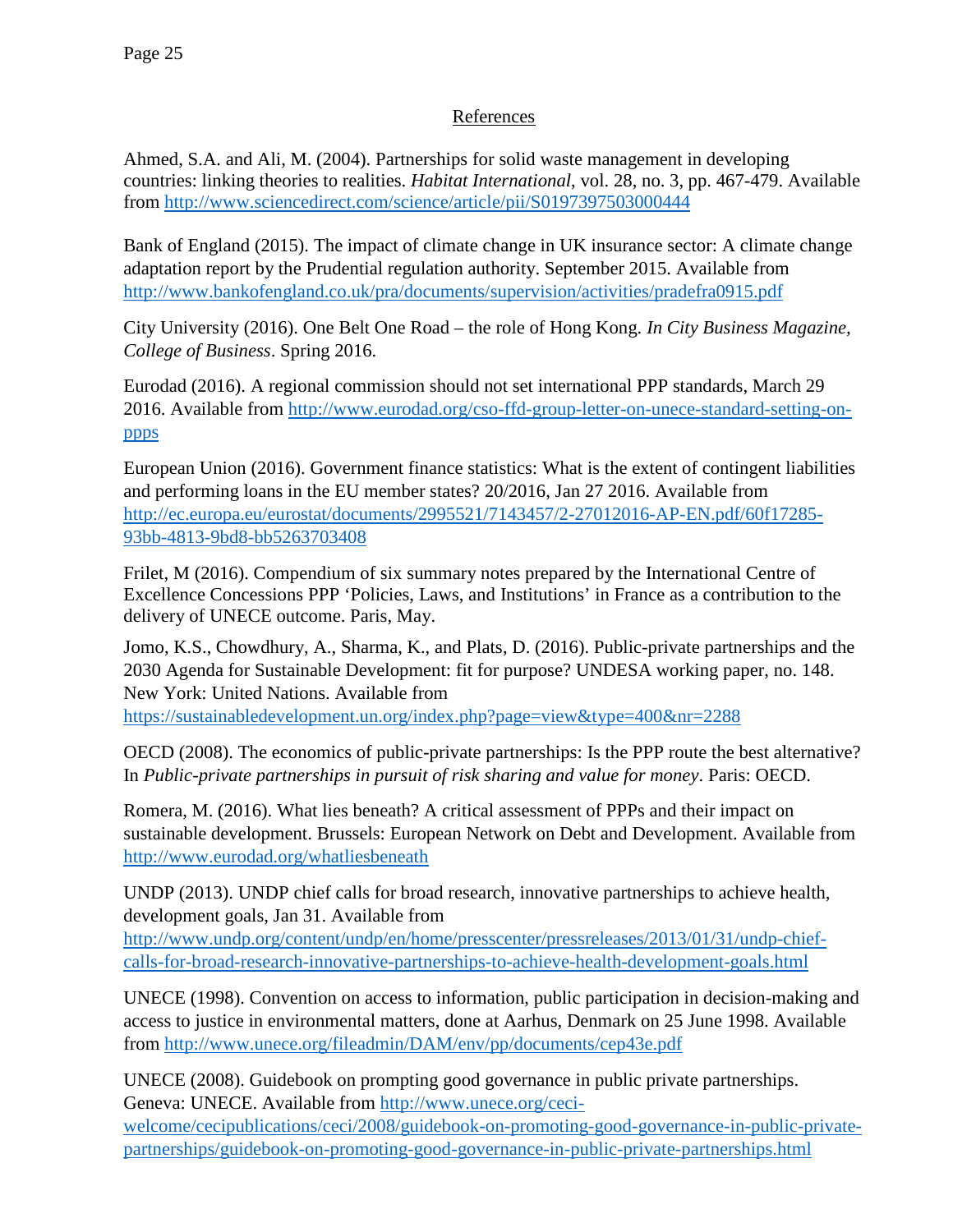# References

Ahmed, S.A. and Ali, M. (2004). Partnerships for solid waste management in developing countries: linking theories to realities. *Habitat International*, vol. 28, no. 3, pp. 467-479. Available from<http://www.sciencedirect.com/science/article/pii/S0197397503000444>

Bank of England (2015). The impact of climate change in UK insurance sector: A climate change adaptation report by the Prudential regulation authority. September 2015. Available from <http://www.bankofengland.co.uk/pra/documents/supervision/activities/pradefra0915.pdf>

City University (2016). One Belt One Road – the role of Hong Kong. *In City Business Magazine, College of Business*. Spring 2016.

Eurodad (2016). A regional commission should not set international PPP standards, March 29 2016. Available from [http://www.eurodad.org/cso-ffd-group-letter-on-unece-standard-setting-on](http://www.eurodad.org/cso-ffd-group-letter-on-unece-standard-setting-on-ppps)[ppps](http://www.eurodad.org/cso-ffd-group-letter-on-unece-standard-setting-on-ppps)

European Union (2016). Government finance statistics: What is the extent of contingent liabilities and performing loans in the EU member states? 20/2016, Jan 27 2016. Available from [http://ec.europa.eu/eurostat/documents/2995521/7143457/2-27012016-AP-EN.pdf/60f17285-](http://ec.europa.eu/eurostat/documents/2995521/7143457/2-27012016-AP-EN.pdf/60f17285-93bb-4813-9bd8-bb5263703408) [93bb-4813-9bd8-bb5263703408](http://ec.europa.eu/eurostat/documents/2995521/7143457/2-27012016-AP-EN.pdf/60f17285-93bb-4813-9bd8-bb5263703408)

Frilet, M (2016). Compendium of six summary notes prepared by the International Centre of Excellence Concessions PPP 'Policies, Laws, and Institutions' in France as a contribution to the delivery of UNECE outcome. Paris, May.

Jomo, K.S., Chowdhury, A., Sharma, K., and Plats, D. (2016). Public-private partnerships and the 2030 Agenda for Sustainable Development: fit for purpose? UNDESA working paper, no. 148. New York: United Nations. Available from <https://sustainabledevelopment.un.org/index.php?page=view&type=400&nr=2288>

OECD (2008). The economics of public-private partnerships: Is the PPP route the best alternative? In *Public-private partnerships in pursuit of risk sharing and value for money*. Paris: OECD.

Romera, M. (2016). What lies beneath? A critical assessment of PPPs and their impact on sustainable development. Brussels: European Network on Debt and Development. Available from <http://www.eurodad.org/whatliesbeneath>

UNDP (2013). UNDP chief calls for broad research, innovative partnerships to achieve health, development goals, Jan 31. Available from

[http://www.undp.org/content/undp/en/home/presscenter/pressreleases/2013/01/31/undp-chief](http://www.undp.org/content/undp/en/home/presscenter/pressreleases/2013/01/31/undp-chief-calls-for-broad-research-innovative-partnerships-to-achieve-health-development-goals.html)[calls-for-broad-research-innovative-partnerships-to-achieve-health-development-goals.html](http://www.undp.org/content/undp/en/home/presscenter/pressreleases/2013/01/31/undp-chief-calls-for-broad-research-innovative-partnerships-to-achieve-health-development-goals.html)

UNECE (1998). Convention on access to information, public participation in decision-making and access to justice in environmental matters, done at Aarhus, Denmark on 25 June 1998. Available from<http://www.unece.org/fileadmin/DAM/env/pp/documents/cep43e.pdf>

UNECE (2008). Guidebook on prompting good governance in public private partnerships. Geneva: UNECE. Available from [http://www.unece.org/ceci-](http://www.unece.org/ceci-welcome/cecipublications/ceci/2008/guidebook-on-promoting-good-governance-in-public-private-partnerships/guidebook-on-promoting-good-governance-in-public-private-partnerships.html)

[welcome/cecipublications/ceci/2008/guidebook-on-promoting-good-governance-in-public-private](http://www.unece.org/ceci-welcome/cecipublications/ceci/2008/guidebook-on-promoting-good-governance-in-public-private-partnerships/guidebook-on-promoting-good-governance-in-public-private-partnerships.html)[partnerships/guidebook-on-promoting-good-governance-in-public-private-partnerships.html](http://www.unece.org/ceci-welcome/cecipublications/ceci/2008/guidebook-on-promoting-good-governance-in-public-private-partnerships/guidebook-on-promoting-good-governance-in-public-private-partnerships.html)